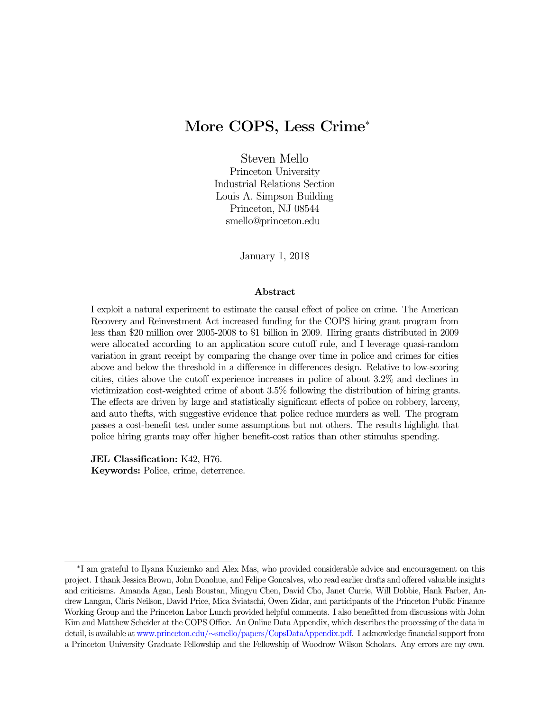# More COPS, Less Crime<sup>∗</sup>

Steven Mello Princeton University Industrial Relations Section Louis A. Simpson Building Princeton, NJ 08544 smello@princeton.edu

January 1, 2018

#### Abstract

I exploit a natural experiment to estimate the causal effect of police on crime. The American Recovery and Reinvestment Act increased funding for the COPS hiring grant program from less than \$20 million over 2005-2008 to \$1 billion in 2009. Hiring grants distributed in 2009 were allocated according to an application score cutoff rule, and I leverage quasi-random variation in grant receipt by comparing the change over time in police and crimes for cities above and below the threshold in a difference in differences design. Relative to low-scoring cities, cities above the cutoff experience increases in police of about 3.2% and declines in victimization cost-weighted crime of about 3.5% following the distribution of hiring grants. The effects are driven by large and statistically significant effects of police on robbery, larceny, and auto thefts, with suggestive evidence that police reduce murders as well. The program passes a cost-benefit test under some assumptions but not others. The results highlight that police hiring grants may offer higher benefit-cost ratios than other stimulus spending.

JEL Classification: K42, H76. Keywords: Police, crime, deterrence.

<sup>∗</sup> I am grateful to Ilyana Kuziemko and Alex Mas, who provided considerable advice and encouragement on this project. I thank Jessica Brown, John Donohue, and Felipe Goncalves, who read earlier drafts and offered valuable insights and criticisms. Amanda Agan, Leah Boustan, Mingyu Chen, David Cho, Janet Currie, Will Dobbie, Hank Farber, Andrew Langan, Chris Neilson, David Price, Mica Sviatschi, Owen Zidar, and participants of the Princeton Public Finance Working Group and the Princeton Labor Lunch provided helpful comments. I also benefitted from discussions with John Kim and Matthew Scheider at the COPS Office. An Online Data Appendix, which describes the processing of the data in detail, is available at www.princeton.edu/∼[smello/papers/CopsDataAppendix.pdf.](http://www.princeton.edu/%7Esmello/papers/CopsDataAppendix.pdf) I acknowledge financial support from a Princeton University Graduate Fellowship and the Fellowship of Woodrow Wilson Scholars. Any errors are my own.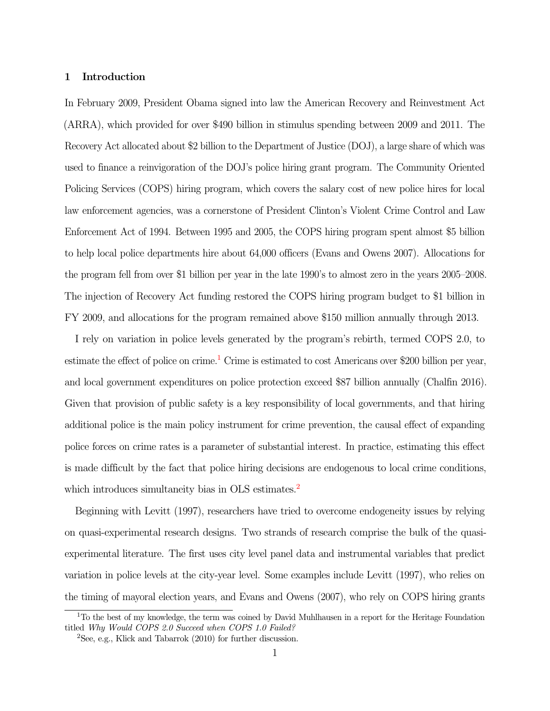#### 1 Introduction

In February 2009, President Obama signed into law the American Recovery and Reinvestment Act (ARRA), which provided for over \$490 billion in stimulus spending between 2009 and 2011. The Recovery Act allocated about \$2 billion to the Department of Justice (DOJ), a large share of which was used to finance a reinvigoration of the DOJ's police hiring grant program. The Community Oriented Policing Services (COPS) hiring program, which covers the salary cost of new police hires for local law enforcement agencies, was a cornerstone of President Clinton's Violent Crime Control and Law Enforcement Act of 1994. Between 1995 and 2005, the COPS hiring program spent almost \$5 billion to help local police departments hire about 64,000 officers (Evans and Owens 2007). Allocations for the program fell from over \$1 billion per year in the late 1990's to almost zero in the years 2005–2008. The injection of Recovery Act funding restored the COPS hiring program budget to \$1 billion in FY 2009, and allocations for the program remained above \$150 million annually through 2013.

I rely on variation in police levels generated by the program's rebirth, termed COPS 2.0, to estimate the effect of police on crime.<sup>[1](#page-1-0)</sup> Crime is estimated to cost Americans over \$200 billion per year, and local government expenditures on police protection exceed \$87 billion annually (Chalfin 2016). Given that provision of public safety is a key responsibility of local governments, and that hiring additional police is the main policy instrument for crime prevention, the causal effect of expanding police forces on crime rates is a parameter of substantial interest. In practice, estimating this effect is made difficult by the fact that police hiring decisions are endogenous to local crime conditions, which introduces simultaneity bias in OLS estimates.<sup>[2](#page-1-1)</sup>

Beginning with Levitt (1997), researchers have tried to overcome endogeneity issues by relying on quasi-experimental research designs. Two strands of research comprise the bulk of the quasiexperimental literature. The first uses city level panel data and instrumental variables that predict variation in police levels at the city-year level. Some examples include Levitt (1997), who relies on the timing of mayoral election years, and Evans and Owens (2007), who rely on COPS hiring grants

<span id="page-1-0"></span><sup>&</sup>lt;sup>1</sup>To the best of my knowledge, the term was coined by David Muhlhausen in a report for the Heritage Foundation titled Why Would COPS 2.0 Succeed when COPS 1.0 Failed?

<span id="page-1-1"></span> ${}^{2}$ See, e.g., Klick and Tabarrok (2010) for further discussion.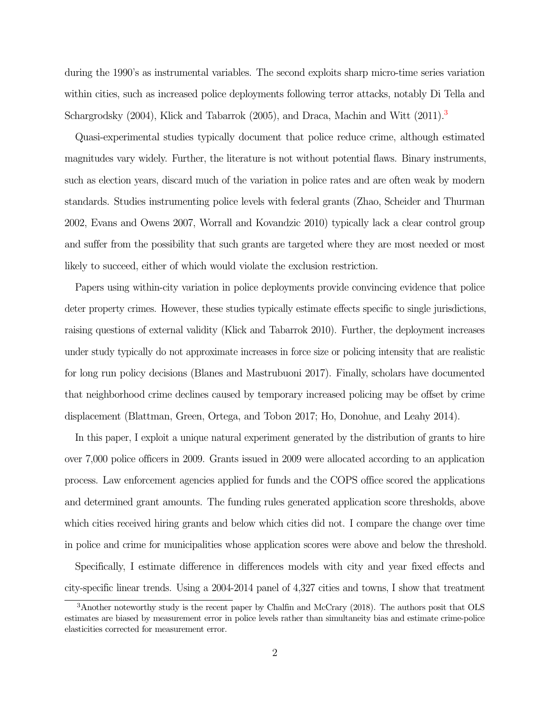during the 1990's as instrumental variables. The second exploits sharp micro-time series variation within cities, such as increased police deployments following terror attacks, notably Di Tella and Schargrodsky (2004), Klick and Tabarrok (2005), and Draca, Machin and Witt (2011).<sup>[3](#page-2-0)</sup>

Quasi-experimental studies typically document that police reduce crime, although estimated magnitudes vary widely. Further, the literature is not without potential flaws. Binary instruments, such as election years, discard much of the variation in police rates and are often weak by modern standards. Studies instrumenting police levels with federal grants (Zhao, Scheider and Thurman 2002, Evans and Owens 2007, Worrall and Kovandzic 2010) typically lack a clear control group and suffer from the possibility that such grants are targeted where they are most needed or most likely to succeed, either of which would violate the exclusion restriction.

Papers using within-city variation in police deployments provide convincing evidence that police deter property crimes. However, these studies typically estimate effects specific to single jurisdictions, raising questions of external validity (Klick and Tabarrok 2010). Further, the deployment increases under study typically do not approximate increases in force size or policing intensity that are realistic for long run policy decisions (Blanes and Mastrubuoni 2017). Finally, scholars have documented that neighborhood crime declines caused by temporary increased policing may be offset by crime displacement (Blattman, Green, Ortega, and Tobon 2017; Ho, Donohue, and Leahy 2014).

In this paper, I exploit a unique natural experiment generated by the distribution of grants to hire over 7,000 police officers in 2009. Grants issued in 2009 were allocated according to an application process. Law enforcement agencies applied for funds and the COPS office scored the applications and determined grant amounts. The funding rules generated application score thresholds, above which cities received hiring grants and below which cities did not. I compare the change over time in police and crime for municipalities whose application scores were above and below the threshold.

Specifically, I estimate difference in differences models with city and year fixed effects and city-specific linear trends. Using a 2004-2014 panel of 4,327 cities and towns, I show that treatment

<span id="page-2-0"></span><sup>3</sup>Another noteworthy study is the recent paper by Chalfin and McCrary (2018). The authors posit that OLS estimates are biased by measurement error in police levels rather than simultaneity bias and estimate crime-police elasticities corrected for measurement error.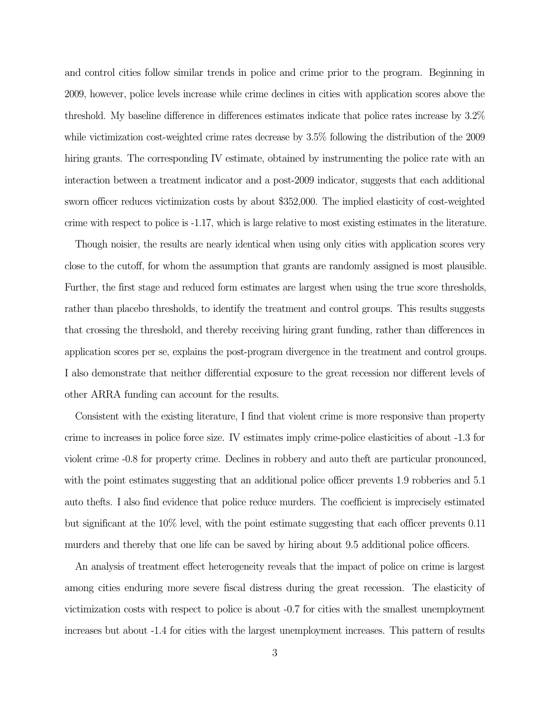and control cities follow similar trends in police and crime prior to the program. Beginning in 2009, however, police levels increase while crime declines in cities with application scores above the threshold. My baseline difference in differences estimates indicate that police rates increase by 3.2% while victimization cost-weighted crime rates decrease by 3.5% following the distribution of the 2009 hiring grants. The corresponding IV estimate, obtained by instrumenting the police rate with an interaction between a treatment indicator and a post-2009 indicator, suggests that each additional sworn officer reduces victimization costs by about \$352,000. The implied elasticity of cost-weighted crime with respect to police is -1.17, which is large relative to most existing estimates in the literature.

Though noisier, the results are nearly identical when using only cities with application scores very close to the cutoff, for whom the assumption that grants are randomly assigned is most plausible. Further, the first stage and reduced form estimates are largest when using the true score thresholds, rather than placebo thresholds, to identify the treatment and control groups. This results suggests that crossing the threshold, and thereby receiving hiring grant funding, rather than differences in application scores per se, explains the post-program divergence in the treatment and control groups. I also demonstrate that neither differential exposure to the great recession nor different levels of other ARRA funding can account for the results.

Consistent with the existing literature, I find that violent crime is more responsive than property crime to increases in police force size. IV estimates imply crime-police elasticities of about -1.3 for violent crime -0.8 for property crime. Declines in robbery and auto theft are particular pronounced, with the point estimates suggesting that an additional police officer prevents 1.9 robberies and 5.1 auto thefts. I also find evidence that police reduce murders. The coefficient is imprecisely estimated but significant at the 10% level, with the point estimate suggesting that each officer prevents 0.11 murders and thereby that one life can be saved by hiring about 9.5 additional police officers.

An analysis of treatment effect heterogeneity reveals that the impact of police on crime is largest among cities enduring more severe fiscal distress during the great recession. The elasticity of victimization costs with respect to police is about -0.7 for cities with the smallest unemployment increases but about -1.4 for cities with the largest unemployment increases. This pattern of results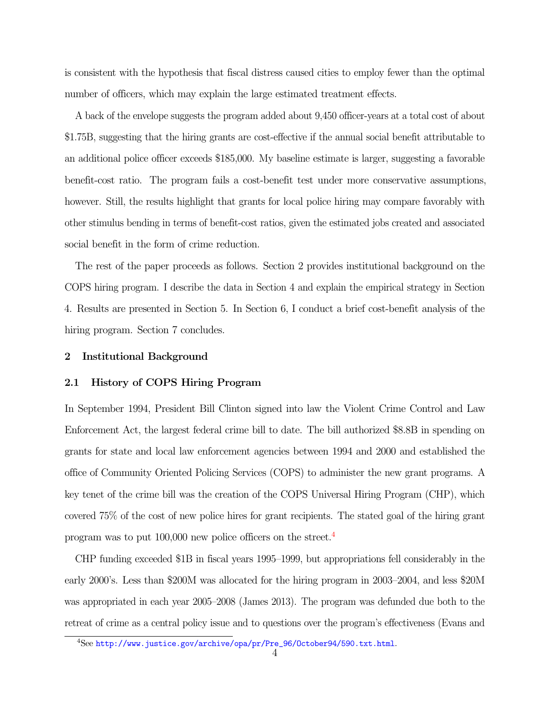is consistent with the hypothesis that fiscal distress caused cities to employ fewer than the optimal number of officers, which may explain the large estimated treatment effects.

A back of the envelope suggests the program added about 9,450 officer-years at a total cost of about \$1.75B, suggesting that the hiring grants are cost-effective if the annual social benefit attributable to an additional police officer exceeds \$185,000. My baseline estimate is larger, suggesting a favorable benefit-cost ratio. The program fails a cost-benefit test under more conservative assumptions, however. Still, the results highlight that grants for local police hiring may compare favorably with other stimulus bending in terms of benefit-cost ratios, given the estimated jobs created and associated social benefit in the form of crime reduction.

The rest of the paper proceeds as follows. Section 2 provides institutional background on the COPS hiring program. I describe the data in Section 4 and explain the empirical strategy in Section 4. Results are presented in Section 5. In Section 6, I conduct a brief cost-benefit analysis of the hiring program. Section 7 concludes.

#### 2 Institutional Background

#### 2.1 History of COPS Hiring Program

In September 1994, President Bill Clinton signed into law the Violent Crime Control and Law Enforcement Act, the largest federal crime bill to date. The bill authorized \$8.8B in spending on grants for state and local law enforcement agencies between 1994 and 2000 and established the office of Community Oriented Policing Services (COPS) to administer the new grant programs. A key tenet of the crime bill was the creation of the COPS Universal Hiring Program (CHP), which covered 75% of the cost of new police hires for grant recipients. The stated goal of the hiring grant program was to put 100,000 new police officers on the street.[4](#page-4-0)

CHP funding exceeded \$1B in fiscal years 1995–1999, but appropriations fell considerably in the early 2000's. Less than \$200M was allocated for the hiring program in 2003–2004, and less \$20M was appropriated in each year 2005–2008 (James 2013). The program was defunded due both to the retreat of crime as a central policy issue and to questions over the program's effectiveness (Evans and

<span id="page-4-0"></span><sup>4</sup>See [http://www.justice.gov/archive/opa/pr/Pre\\_96/October94/590.txt.html](http://www.justice.gov/archive/opa/pr/Pre_96/October94/590.txt.html).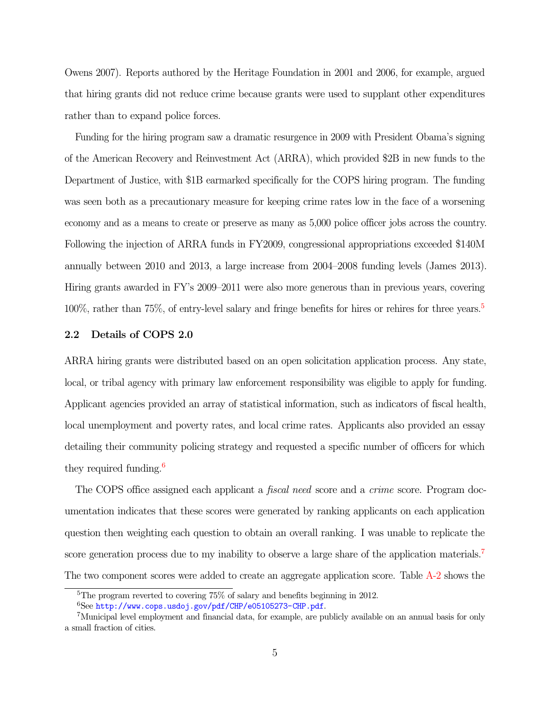Owens 2007). Reports authored by the Heritage Foundation in 2001 and 2006, for example, argued that hiring grants did not reduce crime because grants were used to supplant other expenditures rather than to expand police forces.

Funding for the hiring program saw a dramatic resurgence in 2009 with President Obama's signing of the American Recovery and Reinvestment Act (ARRA), which provided \$2B in new funds to the Department of Justice, with \$1B earmarked specifically for the COPS hiring program. The funding was seen both as a precautionary measure for keeping crime rates low in the face of a worsening economy and as a means to create or preserve as many as 5,000 police officer jobs across the country. Following the injection of ARRA funds in FY2009, congressional appropriations exceeded \$140M annually between 2010 and 2013, a large increase from 2004–2008 funding levels (James 2013). Hiring grants awarded in FY's 2009–2011 were also more generous than in previous years, covering 100%, rather than 75%, of entry-level salary and fringe benefits for hires or rehires for three years.[5](#page-5-0)

#### 2.2 Details of COPS 2.0

ARRA hiring grants were distributed based on an open solicitation application process. Any state, local, or tribal agency with primary law enforcement responsibility was eligible to apply for funding. Applicant agencies provided an array of statistical information, such as indicators of fiscal health, local unemployment and poverty rates, and local crime rates. Applicants also provided an essay detailing their community policing strategy and requested a specific number of officers for which they required funding.<sup>[6](#page-5-1)</sup>

The COPS office assigned each applicant a *fiscal need* score and a *crime* score. Program documentation indicates that these scores were generated by ranking applicants on each application question then weighting each question to obtain an overall ranking. I was unable to replicate the score generation process due to my inability to observe a large share of the application materials.<sup>[7](#page-5-2)</sup> The two component scores were added to create an aggregate application score. Table [A-2](#page-54-0) shows the

<span id="page-5-0"></span><sup>5</sup>The program reverted to covering 75% of salary and benefits beginning in 2012.

<span id="page-5-2"></span><span id="page-5-1"></span> $6$ See <http://www.cops.usdoj.gov/pdf/CHP/e05105273-CHP.pdf>.

<sup>7</sup>Municipal level employment and financial data, for example, are publicly available on an annual basis for only a small fraction of cities.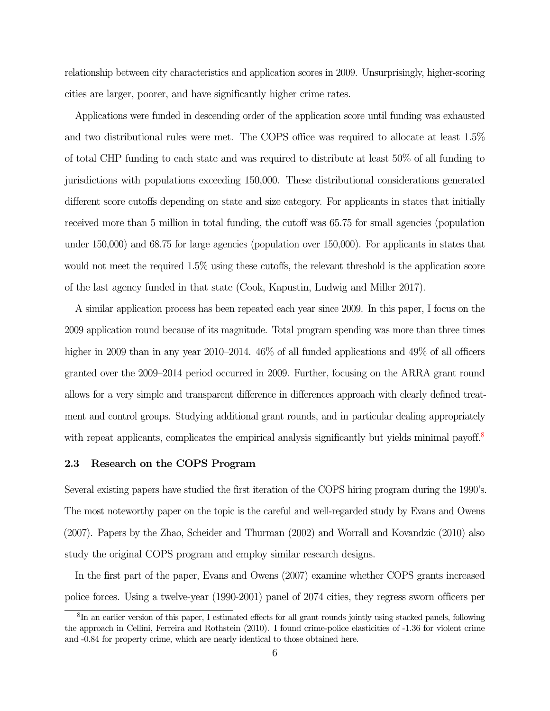relationship between city characteristics and application scores in 2009. Unsurprisingly, higher-scoring cities are larger, poorer, and have significantly higher crime rates.

Applications were funded in descending order of the application score until funding was exhausted and two distributional rules were met. The COPS office was required to allocate at least 1.5% of total CHP funding to each state and was required to distribute at least 50% of all funding to jurisdictions with populations exceeding 150,000. These distributional considerations generated different score cutoffs depending on state and size category. For applicants in states that initially received more than 5 million in total funding, the cutoff was 65.75 for small agencies (population under 150,000) and 68.75 for large agencies (population over 150,000). For applicants in states that would not meet the required 1.5% using these cutoffs, the relevant threshold is the application score of the last agency funded in that state (Cook, Kapustin, Ludwig and Miller 2017).

A similar application process has been repeated each year since 2009. In this paper, I focus on the 2009 application round because of its magnitude. Total program spending was more than three times higher in 2009 than in any year 2010–2014.  $46\%$  of all funded applications and  $49\%$  of all officers granted over the 2009–2014 period occurred in 2009. Further, focusing on the ARRA grant round allows for a very simple and transparent difference in differences approach with clearly defined treatment and control groups. Studying additional grant rounds, and in particular dealing appropriately with repeat applicants, complicates the empirical analysis significantly but yields minimal payoff.<sup>[8](#page-6-0)</sup>

#### 2.3 Research on the COPS Program

Several existing papers have studied the first iteration of the COPS hiring program during the 1990's. The most noteworthy paper on the topic is the careful and well-regarded study by Evans and Owens (2007). Papers by the Zhao, Scheider and Thurman (2002) and Worrall and Kovandzic (2010) also study the original COPS program and employ similar research designs.

In the first part of the paper, Evans and Owens (2007) examine whether COPS grants increased police forces. Using a twelve-year (1990-2001) panel of 2074 cities, they regress sworn officers per

<span id="page-6-0"></span><sup>&</sup>lt;sup>8</sup>In an earlier version of this paper, I estimated effects for all grant rounds jointly using stacked panels, following the approach in Cellini, Ferreira and Rothstein (2010). I found crime-police elasticities of -1.36 for violent crime and -0.84 for property crime, which are nearly identical to those obtained here.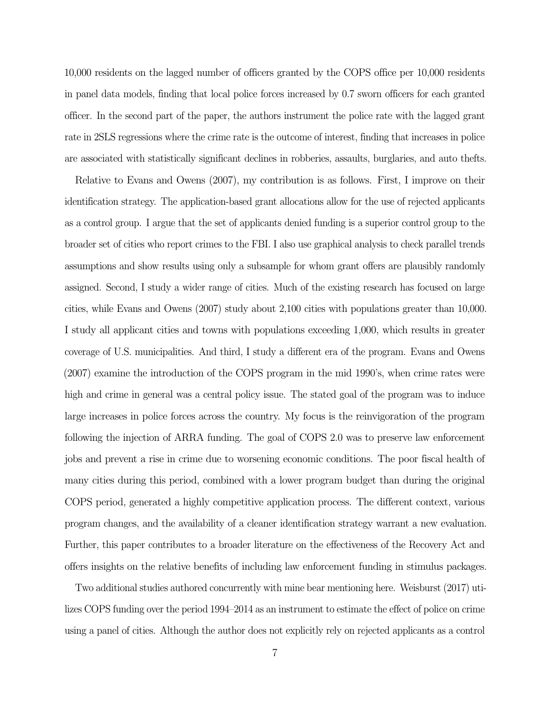10,000 residents on the lagged number of officers granted by the COPS office per 10,000 residents in panel data models, finding that local police forces increased by 0.7 sworn officers for each granted officer. In the second part of the paper, the authors instrument the police rate with the lagged grant rate in 2SLS regressions where the crime rate is the outcome of interest, finding that increases in police are associated with statistically significant declines in robberies, assaults, burglaries, and auto thefts.

Relative to Evans and Owens (2007), my contribution is as follows. First, I improve on their identification strategy. The application-based grant allocations allow for the use of rejected applicants as a control group. I argue that the set of applicants denied funding is a superior control group to the broader set of cities who report crimes to the FBI. I also use graphical analysis to check parallel trends assumptions and show results using only a subsample for whom grant offers are plausibly randomly assigned. Second, I study a wider range of cities. Much of the existing research has focused on large cities, while Evans and Owens (2007) study about 2,100 cities with populations greater than 10,000. I study all applicant cities and towns with populations exceeding 1,000, which results in greater coverage of U.S. municipalities. And third, I study a different era of the program. Evans and Owens (2007) examine the introduction of the COPS program in the mid 1990's, when crime rates were high and crime in general was a central policy issue. The stated goal of the program was to induce large increases in police forces across the country. My focus is the reinvigoration of the program following the injection of ARRA funding. The goal of COPS 2.0 was to preserve law enforcement jobs and prevent a rise in crime due to worsening economic conditions. The poor fiscal health of many cities during this period, combined with a lower program budget than during the original COPS period, generated a highly competitive application process. The different context, various program changes, and the availability of a cleaner identification strategy warrant a new evaluation. Further, this paper contributes to a broader literature on the effectiveness of the Recovery Act and offers insights on the relative benefits of including law enforcement funding in stimulus packages.

Two additional studies authored concurrently with mine bear mentioning here. Weisburst (2017) utilizes COPS funding over the period 1994–2014 as an instrument to estimate the effect of police on crime using a panel of cities. Although the author does not explicitly rely on rejected applicants as a control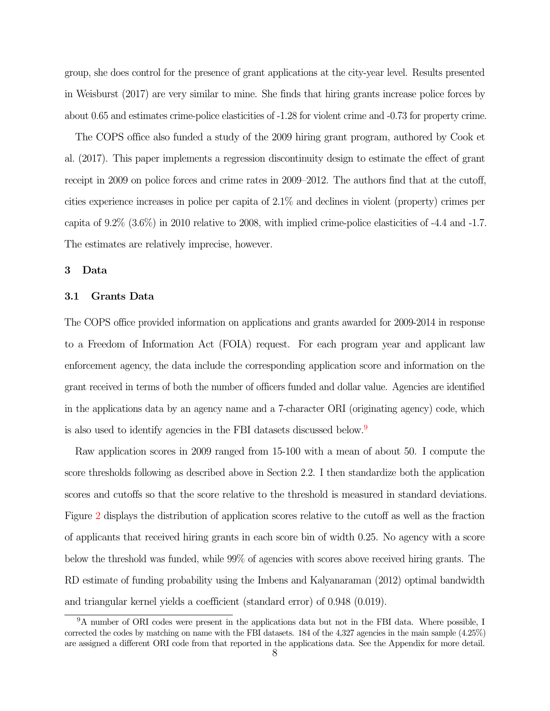group, she does control for the presence of grant applications at the city-year level. Results presented in Weisburst (2017) are very similar to mine. She finds that hiring grants increase police forces by about 0.65 and estimates crime-police elasticities of -1.28 for violent crime and -0.73 for property crime.

The COPS office also funded a study of the 2009 hiring grant program, authored by Cook et al. (2017). This paper implements a regression discontinuity design to estimate the effect of grant receipt in 2009 on police forces and crime rates in 2009–2012. The authors find that at the cutoff, cities experience increases in police per capita of 2.1% and declines in violent (property) crimes per capita of 9.2% (3.6%) in 2010 relative to 2008, with implied crime-police elasticities of -4.4 and -1.7. The estimates are relatively imprecise, however.

#### 3 Data

#### 3.1 Grants Data

The COPS office provided information on applications and grants awarded for 2009-2014 in response to a Freedom of Information Act (FOIA) request. For each program year and applicant law enforcement agency, the data include the corresponding application score and information on the grant received in terms of both the number of officers funded and dollar value. Agencies are identified in the applications data by an agency name and a 7-character ORI (originating agency) code, which is also used to identify agencies in the FBI datasets discussed below.[9](#page-8-0)

Raw application scores in 2009 ranged from 15-100 with a mean of about 50. I compute the score thresholds following as described above in Section 2.2. I then standardize both the application scores and cutoffs so that the score relative to the threshold is measured in standard deviations. Figure [2](#page-32-0) displays the distribution of application scores relative to the cutoff as well as the fraction of applicants that received hiring grants in each score bin of width 0.25. No agency with a score below the threshold was funded, while 99% of agencies with scores above received hiring grants. The RD estimate of funding probability using the Imbens and Kalyanaraman (2012) optimal bandwidth and triangular kernel yields a coefficient (standard error) of 0.948 (0.019).

<span id="page-8-0"></span><sup>9</sup>A number of ORI codes were present in the applications data but not in the FBI data. Where possible, I corrected the codes by matching on name with the FBI datasets. 184 of the 4,327 agencies in the main sample (4.25%) are assigned a different ORI code from that reported in the applications data. See the Appendix for more detail.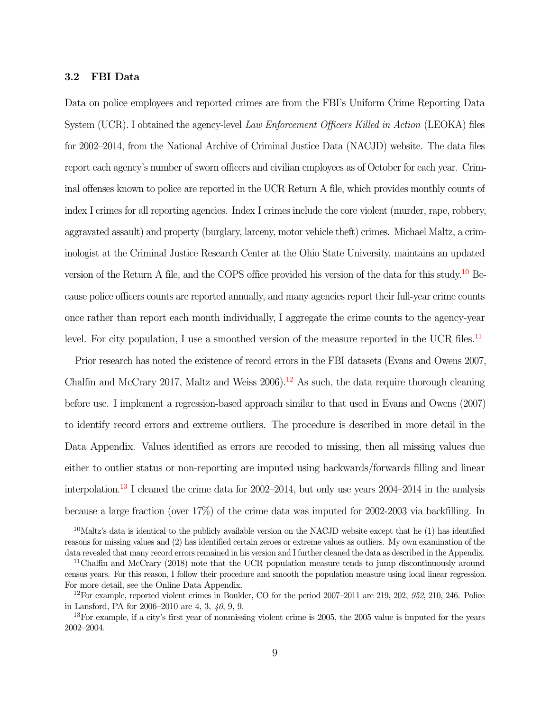#### 3.2 FBI Data

Data on police employees and reported crimes are from the FBI's Uniform Crime Reporting Data System (UCR). I obtained the agency-level Law Enforcement Officers Killed in Action (LEOKA) files for 2002–2014, from the National Archive of Criminal Justice Data (NACJD) website. The data files report each agency's number of sworn officers and civilian employees as of October for each year. Criminal offenses known to police are reported in the UCR Return A file, which provides monthly counts of index I crimes for all reporting agencies. Index I crimes include the core violent (murder, rape, robbery, aggravated assault) and property (burglary, larceny, motor vehicle theft) crimes. Michael Maltz, a criminologist at the Criminal Justice Research Center at the Ohio State University, maintains an updated version of the Return A file, and the COPS office provided his version of the data for this study.[10](#page-9-0) Because police officers counts are reported annually, and many agencies report their full-year crime counts once rather than report each month individually, I aggregate the crime counts to the agency-year level. For city population, I use a smoothed version of the measure reported in the UCR files.<sup>[11](#page-9-1)</sup>

Prior research has noted the existence of record errors in the FBI datasets (Evans and Owens 2007, Chalfin and McCrary 2017, Maltz and Weiss  $2006$ .<sup>[12](#page-9-2)</sup> As such, the data require thorough cleaning before use. I implement a regression-based approach similar to that used in Evans and Owens (2007) to identify record errors and extreme outliers. The procedure is described in more detail in the Data Appendix. Values identified as errors are recoded to missing, then all missing values due either to outlier status or non-reporting are imputed using backwards/forwards filling and linear interpolation.<sup>[13](#page-9-3)</sup> I cleaned the crime data for  $2002-2014$ , but only use years  $2004-2014$  in the analysis because a large fraction (over 17%) of the crime data was imputed for 2002-2003 via backfilling. In

<span id="page-9-0"></span><sup>&</sup>lt;sup>10</sup>Maltz's data is identical to the publicly available version on the NACJD website except that he  $(1)$  has identified reasons for missing values and (2) has identified certain zeroes or extreme values as outliers. My own examination of the data revealed that many record errors remained in his version and I further cleaned the data as described in the Appendix.

<span id="page-9-1"></span><sup>11</sup>Chalfin and McCrary (2018) note that the UCR population measure tends to jump discontinuously around census years. For this reason, I follow their procedure and smooth the population measure using local linear regression. For more detail, see the Online Data Appendix.

<span id="page-9-2"></span> $12$ For example, reported violent crimes in Boulder, CO for the period  $2007-2011$  are  $219, 202, 952, 210, 246$ . Police in Lansford, PA for 2006–2010 are 4, 3, 40, 9, 9.

<span id="page-9-3"></span> $13$ For example, if a city's first year of nonmissing violent crime is 2005, the 2005 value is imputed for the years 2002–2004.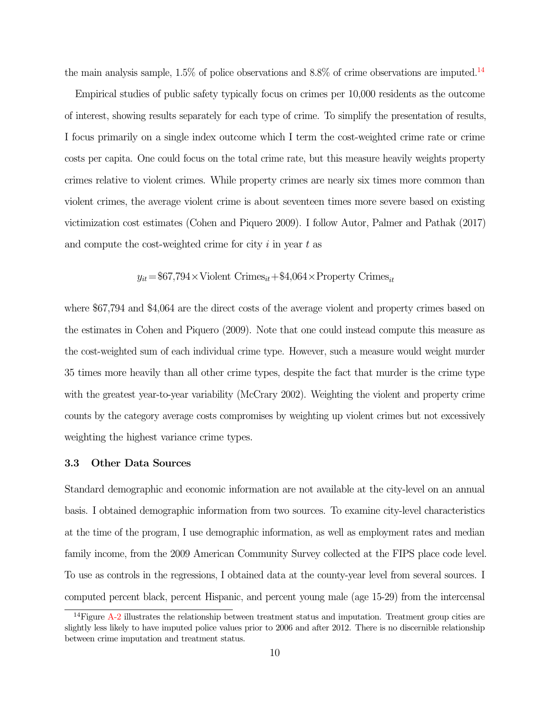the main analysis sample,  $1.5\%$  of police observations and  $8.8\%$  of crime observations are imputed.<sup>[14](#page-10-0)</sup>

Empirical studies of public safety typically focus on crimes per 10,000 residents as the outcome of interest, showing results separately for each type of crime. To simplify the presentation of results, I focus primarily on a single index outcome which I term the cost-weighted crime rate or crime costs per capita. One could focus on the total crime rate, but this measure heavily weights property crimes relative to violent crimes. While property crimes are nearly six times more common than violent crimes, the average violent crime is about seventeen times more severe based on existing victimization cost estimates (Cohen and Piquero 2009). I follow Autor, Palmer and Pathak (2017) and compute the cost-weighted crime for city  $i$  in year  $t$  as

$$
y_{it} = \$67,794 \times \text{Violent Crimes}_{it} + \$4,064 \times \text{Property Crimes}_{it}
$$

where \$67,794 and \$4,064 are the direct costs of the average violent and property crimes based on the estimates in Cohen and Piquero (2009). Note that one could instead compute this measure as the cost-weighted sum of each individual crime type. However, such a measure would weight murder 35 times more heavily than all other crime types, despite the fact that murder is the crime type with the greatest year-to-year variability (McCrary 2002). Weighting the violent and property crime counts by the category average costs compromises by weighting up violent crimes but not excessively weighting the highest variance crime types.

#### 3.3 Other Data Sources

Standard demographic and economic information are not available at the city-level on an annual basis. I obtained demographic information from two sources. To examine city-level characteristics at the time of the program, I use demographic information, as well as employment rates and median family income, from the 2009 American Community Survey collected at the FIPS place code level. To use as controls in the regressions, I obtained data at the county-year level from several sources. I computed percent black, percent Hispanic, and percent young male (age 15-29) from the intercensal

<span id="page-10-0"></span> $14$ Figure [A-2](#page-46-0) illustrates the relationship between treatment status and imputation. Treatment group cities are slightly less likely to have imputed police values prior to 2006 and after 2012. There is no discernible relationship between crime imputation and treatment status.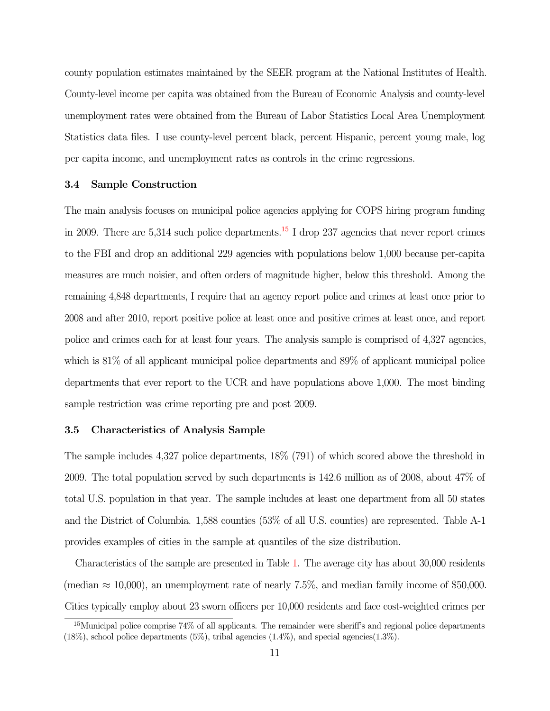county population estimates maintained by the SEER program at the National Institutes of Health. County-level income per capita was obtained from the Bureau of Economic Analysis and county-level unemployment rates were obtained from the Bureau of Labor Statistics Local Area Unemployment Statistics data files. I use county-level percent black, percent Hispanic, percent young male, log per capita income, and unemployment rates as controls in the crime regressions.

#### 3.4 Sample Construction

The main analysis focuses on municipal police agencies applying for COPS hiring program funding in 2009. There are 5,314 such police departments.<sup>[15](#page-11-0)</sup> I drop 237 agencies that never report crimes to the FBI and drop an additional 229 agencies with populations below 1,000 because per-capita measures are much noisier, and often orders of magnitude higher, below this threshold. Among the remaining 4,848 departments, I require that an agency report police and crimes at least once prior to 2008 and after 2010, report positive police at least once and positive crimes at least once, and report police and crimes each for at least four years. The analysis sample is comprised of 4,327 agencies, which is 81% of all applicant municipal police departments and 89% of applicant municipal police departments that ever report to the UCR and have populations above 1,000. The most binding sample restriction was crime reporting pre and post 2009.

#### 3.5 Characteristics of Analysis Sample

The sample includes 4,327 police departments, 18% (791) of which scored above the threshold in 2009. The total population served by such departments is 142.6 million as of 2008, about 47% of total U.S. population in that year. The sample includes at least one department from all 50 states and the District of Columbia. 1,588 counties (53% of all U.S. counties) are represented. Table A-1 provides examples of cities in the sample at quantiles of the size distribution.

Characteristics of the sample are presented in Table [1.](#page-39-0) The average city has about 30,000 residents (median  $\approx$  10,000), an unemployment rate of nearly 7.5%, and median family income of \$50,000. Cities typically employ about 23 sworn officers per 10,000 residents and face cost-weighted crimes per

<span id="page-11-0"></span><sup>15</sup>Municipal police comprise 74% of all applicants. The remainder were sheriff's and regional police departments  $(18\%)$ , school police departments  $(5\%)$ , tribal agencies  $(1.4\%)$ , and special agencies $(1.3\%)$ .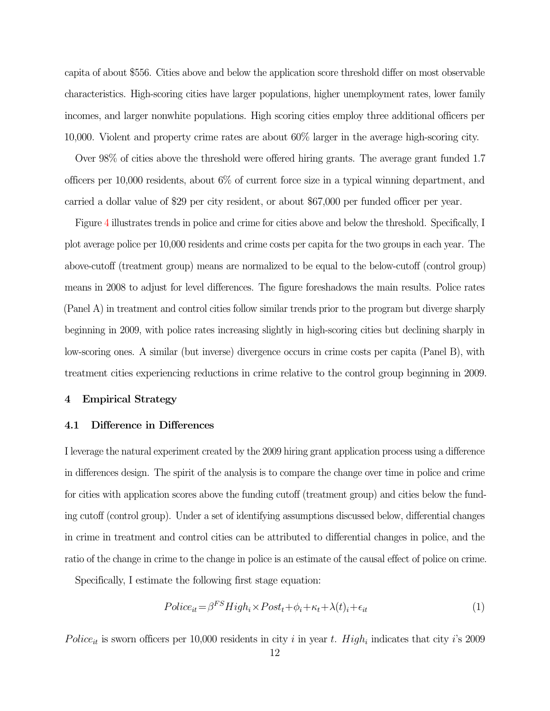capita of about \$556. Cities above and below the application score threshold differ on most observable characteristics. High-scoring cities have larger populations, higher unemployment rates, lower family incomes, and larger nonwhite populations. High scoring cities employ three additional officers per 10,000. Violent and property crime rates are about 60% larger in the average high-scoring city.

Over 98% of cities above the threshold were offered hiring grants. The average grant funded 1.7 officers per 10,000 residents, about 6% of current force size in a typical winning department, and carried a dollar value of \$29 per city resident, or about \$67,000 per funded officer per year.

Figure [4](#page-34-0) illustrates trends in police and crime for cities above and below the threshold. Specifically, I plot average police per 10,000 residents and crime costs per capita for the two groups in each year. The above-cutoff (treatment group) means are normalized to be equal to the below-cutoff (control group) means in 2008 to adjust for level differences. The figure foreshadows the main results. Police rates (Panel A) in treatment and control cities follow similar trends prior to the program but diverge sharply beginning in 2009, with police rates increasing slightly in high-scoring cities but declining sharply in low-scoring ones. A similar (but inverse) divergence occurs in crime costs per capita (Panel B), with treatment cities experiencing reductions in crime relative to the control group beginning in 2009.

#### 4 Empirical Strategy

#### 4.1 Difference in Differences

I leverage the natural experiment created by the 2009 hiring grant application process using a difference in differences design. The spirit of the analysis is to compare the change over time in police and crime for cities with application scores above the funding cutoff (treatment group) and cities below the funding cutoff (control group). Under a set of identifying assumptions discussed below, differential changes in crime in treatment and control cities can be attributed to differential changes in police, and the ratio of the change in crime to the change in police is an estimate of the causal effect of police on crime.

Specifically, I estimate the following first stage equation:

$$
Polic e_{it} = \beta^{FS} High_i \times Post_t + \phi_i + \kappa_t + \lambda(t)_i + \epsilon_{it}
$$
\n<sup>(1)</sup>

Police<sub>it</sub> is sworn officers per 10,000 residents in city i in year t. High<sub>i</sub> indicates that city i's 2009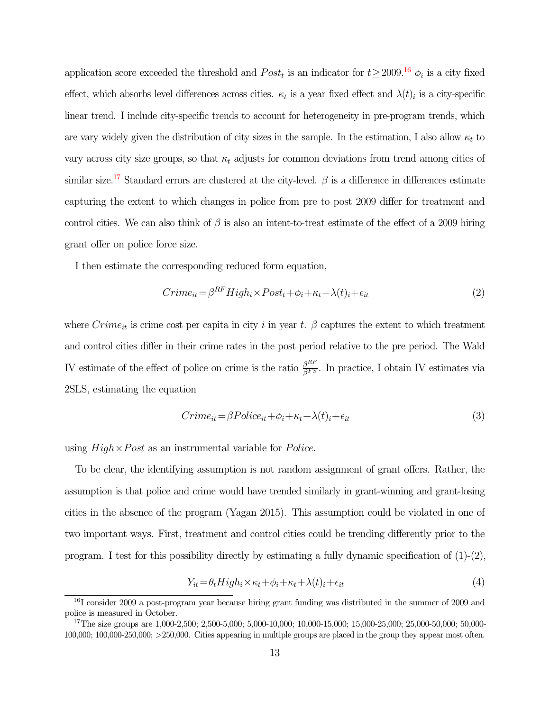application score exceeded the threshold and  $Post<sub>t</sub>$  is an indicator for  $t \ge 2009$ .<sup>[16](#page-13-0)</sup>  $\phi<sub>i</sub>$  is a city fixed effect, which absorbs level differences across cities.  $\kappa_t$  is a year fixed effect and  $\lambda(t)_i$  is a city-specific linear trend. I include city-specific trends to account for heterogeneity in pre-program trends, which are vary widely given the distribution of city sizes in the sample. In the estimation, I also allow  $\kappa_t$  to vary across city size groups, so that  $\kappa_t$  adjusts for common deviations from trend among cities of similar size.<sup>[17](#page-13-1)</sup> Standard errors are clustered at the city-level.  $\beta$  is a difference in differences estimate capturing the extent to which changes in police from pre to post 2009 differ for treatment and control cities. We can also think of  $\beta$  is also an intent-to-treat estimate of the effect of a 2009 hiring grant offer on police force size.

I then estimate the corresponding reduced form equation,

$$
Crime_{it} = \beta^{RF} High_i \times Post_t + \phi_i + \kappa_t + \lambda(t)_i + \epsilon_{it}
$$
\n<sup>(2)</sup>

where  $Crim_{\text{\'et}}$  is crime cost per capita in city i in year t.  $\beta$  captures the extent to which treatment and control cities differ in their crime rates in the post period relative to the pre period. The Wald IV estimate of the effect of police on crime is the ratio  $\frac{\beta^{RF}}{\beta^{FS}}$ . In practice, I obtain IV estimates via 2SLS, estimating the equation

$$
Crime_{it} = \beta Police_{it} + \phi_i + \kappa_t + \lambda(t)_i + \epsilon_{it}
$$
\n
$$
\tag{3}
$$

using  $High \times Post$  as an instrumental variable for *Police*.

To be clear, the identifying assumption is not random assignment of grant offers. Rather, the assumption is that police and crime would have trended similarly in grant-winning and grant-losing cities in the absence of the program (Yagan 2015). This assumption could be violated in one of two important ways. First, treatment and control cities could be trending differently prior to the program. I test for this possibility directly by estimating a fully dynamic specification of  $(1)-(2)$ ,

$$
Y_{it} = \theta_t H i g h_i \times \kappa_t + \phi_i + \kappa_t + \lambda(t)_i + \epsilon_{it}
$$
\n<sup>(4)</sup>

<span id="page-13-0"></span><sup>&</sup>lt;sup>16</sup>I consider 2009 a post-program year because hiring grant funding was distributed in the summer of 2009 and police is measured in October.

<span id="page-13-1"></span><sup>&</sup>lt;sup>17</sup>The size groups are 1,000-2,500; 2,500-5,000; 5,000-10,000; 10,000-15,000; 15,000-25,000; 25,000-50,000; 50,000-100,000; 100,000-250,000; >250,000. Cities appearing in multiple groups are placed in the group they appear most often.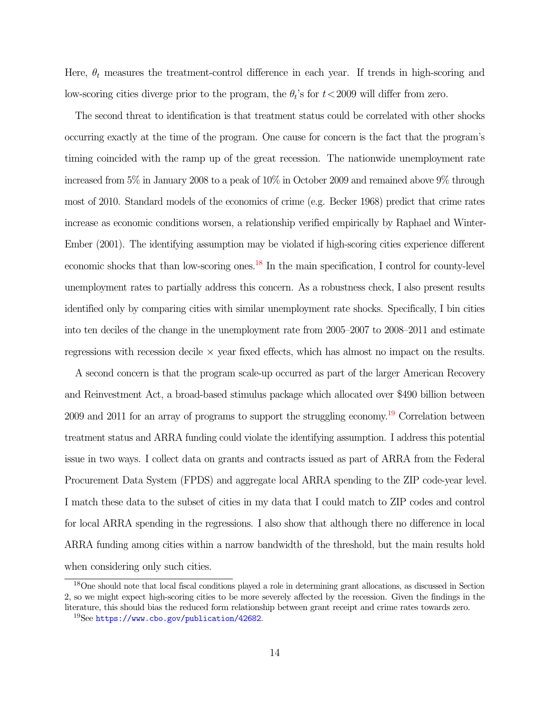Here,  $\theta_t$  measures the treatment-control difference in each year. If trends in high-scoring and low-scoring cities diverge prior to the program, the  $\theta_t$ 's for  $t < 2009$  will differ from zero.

The second threat to identification is that treatment status could be correlated with other shocks occurring exactly at the time of the program. One cause for concern is the fact that the program's timing coincided with the ramp up of the great recession. The nationwide unemployment rate increased from 5% in January 2008 to a peak of 10% in October 2009 and remained above 9% through most of 2010. Standard models of the economics of crime (e.g. Becker 1968) predict that crime rates increase as economic conditions worsen, a relationship verified empirically by Raphael and Winter-Ember (2001). The identifying assumption may be violated if high-scoring cities experience different economic shocks that than low-scoring ones.[18](#page-14-0) In the main specification, I control for county-level unemployment rates to partially address this concern. As a robustness check, I also present results identified only by comparing cities with similar unemployment rate shocks. Specifically, I bin cities into ten deciles of the change in the unemployment rate from 2005–2007 to 2008–2011 and estimate regressions with recession decile  $\times$  year fixed effects, which has almost no impact on the results.

A second concern is that the program scale-up occurred as part of the larger American Recovery and Reinvestment Act, a broad-based stimulus package which allocated over \$490 billion between 2009 and 2011 for an array of programs to support the struggling economy.[19](#page-14-1) Correlation between treatment status and ARRA funding could violate the identifying assumption. I address this potential issue in two ways. I collect data on grants and contracts issued as part of ARRA from the Federal Procurement Data System (FPDS) and aggregate local ARRA spending to the ZIP code-year level. I match these data to the subset of cities in my data that I could match to ZIP codes and control for local ARRA spending in the regressions. I also show that although there no difference in local ARRA funding among cities within a narrow bandwidth of the threshold, but the main results hold when considering only such cities.

<span id="page-14-0"></span><sup>18</sup>One should note that local fiscal conditions played a role in determining grant allocations, as discussed in Section 2, so we might expect high-scoring cities to be more severely affected by the recession. Given the findings in the literature, this should bias the reduced form relationship between grant receipt and crime rates towards zero.

<span id="page-14-1"></span><sup>19</sup>See <https://www.cbo.gov/publication/42682>.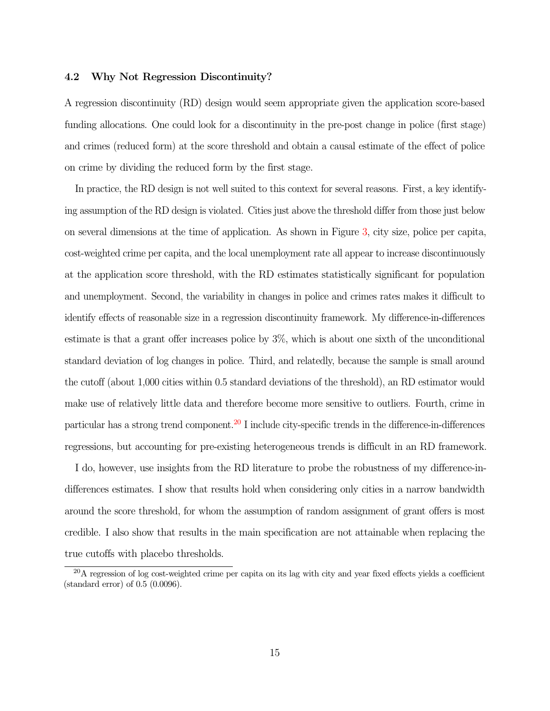#### 4.2 Why Not Regression Discontinuity?

A regression discontinuity (RD) design would seem appropriate given the application score-based funding allocations. One could look for a discontinuity in the pre-post change in police (first stage) and crimes (reduced form) at the score threshold and obtain a causal estimate of the effect of police on crime by dividing the reduced form by the first stage.

In practice, the RD design is not well suited to this context for several reasons. First, a key identifying assumption of the RD design is violated. Cities just above the threshold differ from those just below on several dimensions at the time of application. As shown in Figure [3,](#page-33-0) city size, police per capita, cost-weighted crime per capita, and the local unemployment rate all appear to increase discontinuously at the application score threshold, with the RD estimates statistically significant for population and unemployment. Second, the variability in changes in police and crimes rates makes it difficult to identify effects of reasonable size in a regression discontinuity framework. My difference-in-differences estimate is that a grant offer increases police by 3%, which is about one sixth of the unconditional standard deviation of log changes in police. Third, and relatedly, because the sample is small around the cutoff (about 1,000 cities within 0.5 standard deviations of the threshold), an RD estimator would make use of relatively little data and therefore become more sensitive to outliers. Fourth, crime in particular has a strong trend component.<sup>[20](#page-15-0)</sup> I include city-specific trends in the difference-in-differences regressions, but accounting for pre-existing heterogeneous trends is difficult in an RD framework.

I do, however, use insights from the RD literature to probe the robustness of my difference-indifferences estimates. I show that results hold when considering only cities in a narrow bandwidth around the score threshold, for whom the assumption of random assignment of grant offers is most credible. I also show that results in the main specification are not attainable when replacing the true cutoffs with placebo thresholds.

<span id="page-15-0"></span><sup>&</sup>lt;sup>20</sup>A regression of log cost-weighted crime per capita on its lag with city and year fixed effects yields a coefficient (standard error) of 0.5 (0.0096).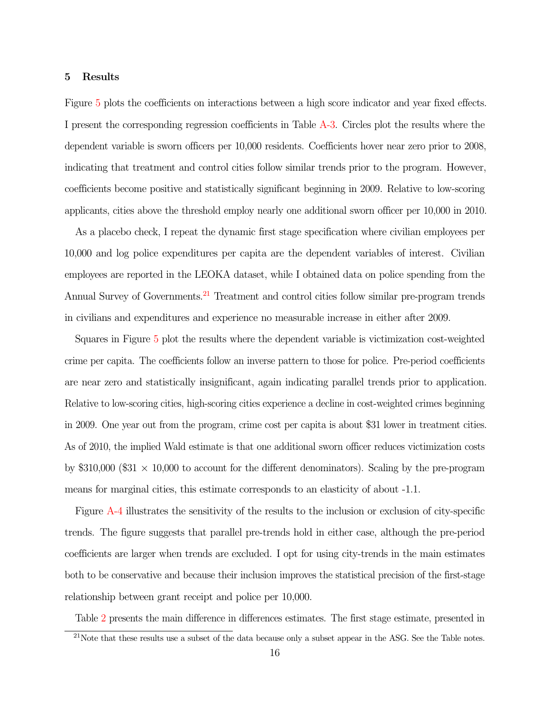#### 5 Results

Figure [5](#page-35-0) plots the coefficients on interactions between a high score indicator and year fixed effects. I present the corresponding regression coefficients in Table [A-3.](#page-55-0) Circles plot the results where the dependent variable is sworn officers per 10,000 residents. Coefficients hover near zero prior to 2008, indicating that treatment and control cities follow similar trends prior to the program. However, coefficients become positive and statistically significant beginning in 2009. Relative to low-scoring applicants, cities above the threshold employ nearly one additional sworn officer per 10,000 in 2010.

As a placebo check, I repeat the dynamic first stage specification where civilian employees per 10,000 and log police expenditures per capita are the dependent variables of interest. Civilian employees are reported in the LEOKA dataset, while I obtained data on police spending from the Annual Survey of Governments.<sup>[21](#page-16-0)</sup> Treatment and control cities follow similar pre-program trends in civilians and expenditures and experience no measurable increase in either after 2009.

Squares in Figure [5](#page-35-0) plot the results where the dependent variable is victimization cost-weighted crime per capita. The coefficients follow an inverse pattern to those for police. Pre-period coefficients are near zero and statistically insignificant, again indicating parallel trends prior to application. Relative to low-scoring cities, high-scoring cities experience a decline in cost-weighted crimes beginning in 2009. One year out from the program, crime cost per capita is about \$31 lower in treatment cities. As of 2010, the implied Wald estimate is that one additional sworn officer reduces victimization costs by  $\$310,000$  ( $\$31 \times 10,000$  to account for the different denominators). Scaling by the pre-program means for marginal cities, this estimate corresponds to an elasticity of about -1.1.

Figure [A-4](#page-48-0) illustrates the sensitivity of the results to the inclusion or exclusion of city-specific trends. The figure suggests that parallel pre-trends hold in either case, although the pre-period coefficients are larger when trends are excluded. I opt for using city-trends in the main estimates both to be conservative and because their inclusion improves the statistical precision of the first-stage relationship between grant receipt and police per 10,000.

Table [2](#page-40-0) presents the main difference in differences estimates. The first stage estimate, presented in

<span id="page-16-0"></span> $21$ Note that these results use a subset of the data because only a subset appear in the ASG. See the Table notes.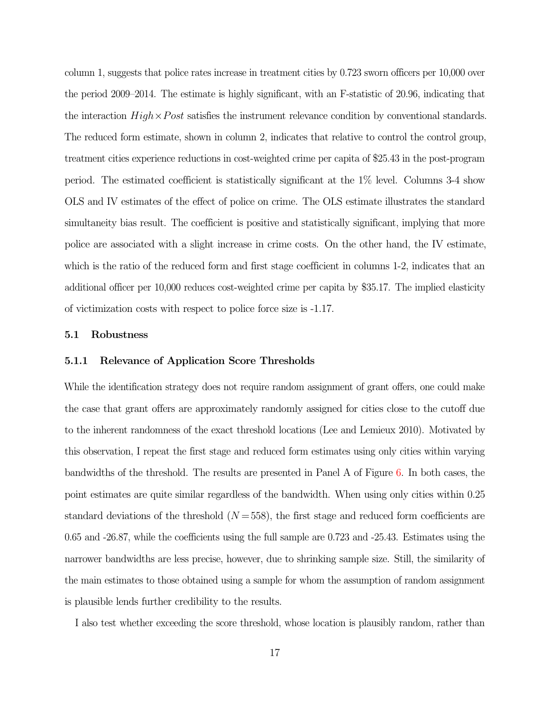column 1, suggests that police rates increase in treatment cities by 0.723 sworn officers per 10,000 over the period 2009–2014. The estimate is highly significant, with an F-statistic of 20.96, indicating that the interaction  $High \times Post$  satisfies the instrument relevance condition by conventional standards. The reduced form estimate, shown in column 2, indicates that relative to control the control group, treatment cities experience reductions in cost-weighted crime per capita of \$25.43 in the post-program period. The estimated coefficient is statistically significant at the 1% level. Columns 3-4 show OLS and IV estimates of the effect of police on crime. The OLS estimate illustrates the standard simultaneity bias result. The coefficient is positive and statistically significant, implying that more police are associated with a slight increase in crime costs. On the other hand, the IV estimate, which is the ratio of the reduced form and first stage coefficient in columns 1-2, indicates that an additional officer per 10,000 reduces cost-weighted crime per capita by \$35.17. The implied elasticity of victimization costs with respect to police force size is -1.17.

#### 5.1 Robustness

#### 5.1.1 Relevance of Application Score Thresholds

While the identification strategy does not require random assignment of grant offers, one could make the case that grant offers are approximately randomly assigned for cities close to the cutoff due to the inherent randomness of the exact threshold locations (Lee and Lemieux 2010). Motivated by this observation, I repeat the first stage and reduced form estimates using only cities within varying bandwidths of the threshold. The results are presented in Panel A of Figure [6.](#page-36-0) In both cases, the point estimates are quite similar regardless of the bandwidth. When using only cities within 0.25 standard deviations of the threshold  $(N = 558)$ , the first stage and reduced form coefficients are 0.65 and -26.87, while the coefficients using the full sample are 0.723 and -25.43. Estimates using the narrower bandwidths are less precise, however, due to shrinking sample size. Still, the similarity of the main estimates to those obtained using a sample for whom the assumption of random assignment is plausible lends further credibility to the results.

I also test whether exceeding the score threshold, whose location is plausibly random, rather than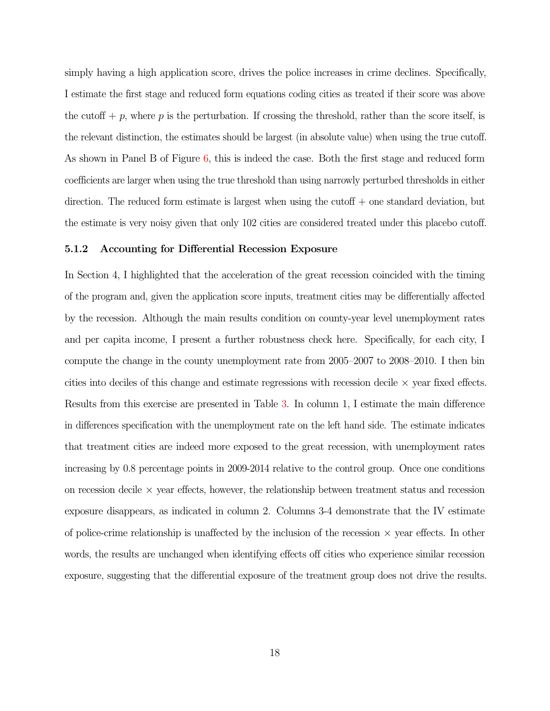simply having a high application score, drives the police increases in crime declines. Specifically, I estimate the first stage and reduced form equations coding cities as treated if their score was above the cutoff  $+ p$ , where p is the perturbation. If crossing the threshold, rather than the score itself, is the relevant distinction, the estimates should be largest (in absolute value) when using the true cutoff. As shown in Panel B of Figure [6,](#page-36-0) this is indeed the case. Both the first stage and reduced form coefficients are larger when using the true threshold than using narrowly perturbed thresholds in either direction. The reduced form estimate is largest when using the cutoff  $+$  one standard deviation, but the estimate is very noisy given that only 102 cities are considered treated under this placebo cutoff.

#### 5.1.2 Accounting for Differential Recession Exposure

In Section 4, I highlighted that the acceleration of the great recession coincided with the timing of the program and, given the application score inputs, treatment cities may be differentially affected by the recession. Although the main results condition on county-year level unemployment rates and per capita income, I present a further robustness check here. Specifically, for each city, I compute the change in the county unemployment rate from 2005–2007 to 2008–2010. I then bin cities into deciles of this change and estimate regressions with recession decile  $\times$  year fixed effects. Results from this exercise are presented in Table [3.](#page-41-0) In column 1, I estimate the main difference in differences specification with the unemployment rate on the left hand side. The estimate indicates that treatment cities are indeed more exposed to the great recession, with unemployment rates increasing by 0.8 percentage points in 2009-2014 relative to the control group. Once one conditions on recession decile  $\times$  year effects, however, the relationship between treatment status and recession exposure disappears, as indicated in column 2. Columns 3-4 demonstrate that the IV estimate of police-crime relationship is unaffected by the inclusion of the recession  $\times$  year effects. In other words, the results are unchanged when identifying effects off cities who experience similar recession exposure, suggesting that the differential exposure of the treatment group does not drive the results.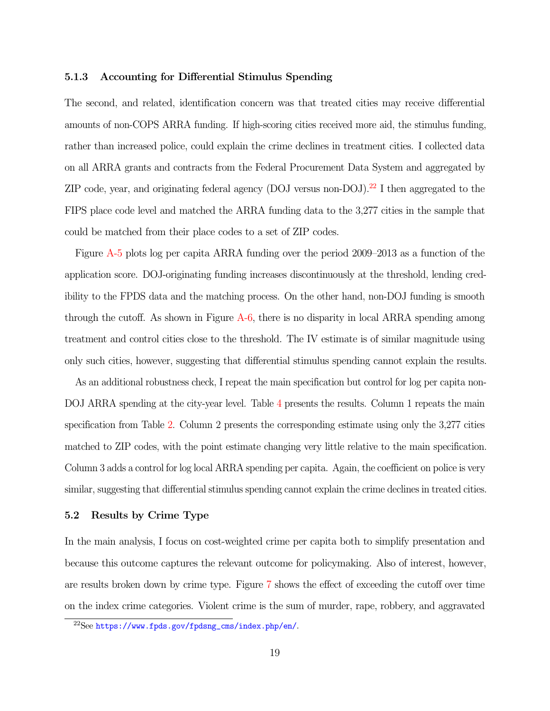#### 5.1.3 Accounting for Differential Stimulus Spending

The second, and related, identification concern was that treated cities may receive differential amounts of non-COPS ARRA funding. If high-scoring cities received more aid, the stimulus funding, rather than increased police, could explain the crime declines in treatment cities. I collected data on all ARRA grants and contracts from the Federal Procurement Data System and aggregated by ZIP code, year, and originating federal agency (DOJ versus non-DOJ).<sup>[22](#page-19-0)</sup> I then aggregated to the FIPS place code level and matched the ARRA funding data to the 3,277 cities in the sample that could be matched from their place codes to a set of ZIP codes.

Figure [A-5](#page-49-0) plots log per capita ARRA funding over the period 2009–2013 as a function of the application score. DOJ-originating funding increases discontinuously at the threshold, lending credibility to the FPDS data and the matching process. On the other hand, non-DOJ funding is smooth through the cutoff. As shown in Figure [A-6,](#page-50-0) there is no disparity in local ARRA spending among treatment and control cities close to the threshold. The IV estimate is of similar magnitude using only such cities, however, suggesting that differential stimulus spending cannot explain the results.

As an additional robustness check, I repeat the main specification but control for log per capita non-DOJ ARRA spending at the city-year level. Table [4](#page-42-0) presents the results. Column 1 repeats the main specification from Table [2.](#page-40-0) Column 2 presents the corresponding estimate using only the 3,277 cities matched to ZIP codes, with the point estimate changing very little relative to the main specification. Column 3 adds a control for log local ARRA spending per capita. Again, the coefficient on police is very similar, suggesting that differential stimulus spending cannot explain the crime declines in treated cities.

#### 5.2 Results by Crime Type

In the main analysis, I focus on cost-weighted crime per capita both to simplify presentation and because this outcome captures the relevant outcome for policymaking. Also of interest, however, are results broken down by crime type. Figure [7](#page-37-0) shows the effect of exceeding the cutoff over time on the index crime categories. Violent crime is the sum of murder, rape, robbery, and aggravated

<span id="page-19-0"></span><sup>22</sup>See [https://www.fpds.gov/fpdsng\\_cms/index.php/en/](https://www.fpds.gov/fpdsng_cms/index.php/en/).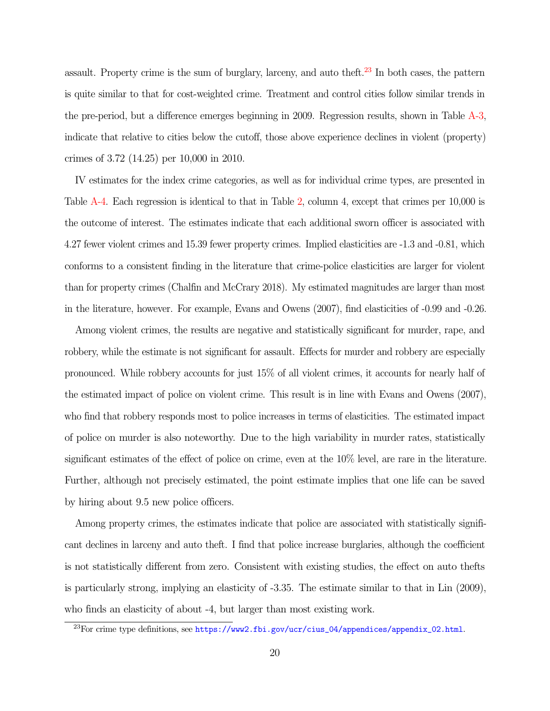assault. Property crime is the sum of burglary, larceny, and auto theft. $23$  In both cases, the pattern is quite similar to that for cost-weighted crime. Treatment and control cities follow similar trends in the pre-period, but a difference emerges beginning in 2009. Regression results, shown in Table [A-3,](#page-55-0) indicate that relative to cities below the cutoff, those above experience declines in violent (property) crimes of 3.72 (14.25) per 10,000 in 2010.

IV estimates for the index crime categories, as well as for individual crime types, are presented in Table [A-4.](#page-56-0) Each regression is identical to that in Table [2,](#page-40-0) column 4, except that crimes per 10,000 is the outcome of interest. The estimates indicate that each additional sworn officer is associated with 4.27 fewer violent crimes and 15.39 fewer property crimes. Implied elasticities are -1.3 and -0.81, which conforms to a consistent finding in the literature that crime-police elasticities are larger for violent than for property crimes (Chalfin and McCrary 2018). My estimated magnitudes are larger than most in the literature, however. For example, Evans and Owens (2007), find elasticities of -0.99 and -0.26.

Among violent crimes, the results are negative and statistically significant for murder, rape, and robbery, while the estimate is not significant for assault. Effects for murder and robbery are especially pronounced. While robbery accounts for just 15% of all violent crimes, it accounts for nearly half of the estimated impact of police on violent crime. This result is in line with Evans and Owens (2007), who find that robbery responds most to police increases in terms of elasticities. The estimated impact of police on murder is also noteworthy. Due to the high variability in murder rates, statistically significant estimates of the effect of police on crime, even at the 10% level, are rare in the literature. Further, although not precisely estimated, the point estimate implies that one life can be saved by hiring about 9.5 new police officers.

Among property crimes, the estimates indicate that police are associated with statistically significant declines in larceny and auto theft. I find that police increase burglaries, although the coefficient is not statistically different from zero. Consistent with existing studies, the effect on auto thefts is particularly strong, implying an elasticity of -3.35. The estimate similar to that in Lin (2009), who finds an elasticity of about -4, but larger than most existing work.

<span id="page-20-0"></span><sup>&</sup>lt;sup>23</sup>For crime type definitions, see [https://www2.fbi.gov/ucr/cius\\_04/appendices/appendix\\_02.html](https://www2.fbi.gov/ucr/cius_04/appendices/appendix_02.html).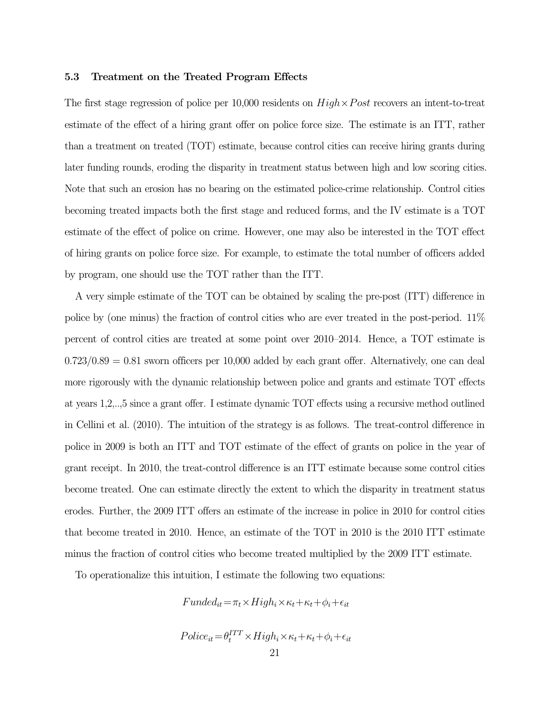#### 5.3 Treatment on the Treated Program Effects

The first stage regression of police per 10,000 residents on  $High \times Post$  recovers an intent-to-treat estimate of the effect of a hiring grant offer on police force size. The estimate is an ITT, rather than a treatment on treated (TOT) estimate, because control cities can receive hiring grants during later funding rounds, eroding the disparity in treatment status between high and low scoring cities. Note that such an erosion has no bearing on the estimated police-crime relationship. Control cities becoming treated impacts both the first stage and reduced forms, and the IV estimate is a TOT estimate of the effect of police on crime. However, one may also be interested in the TOT effect of hiring grants on police force size. For example, to estimate the total number of officers added by program, one should use the TOT rather than the ITT.

A very simple estimate of the TOT can be obtained by scaling the pre-post (ITT) difference in police by (one minus) the fraction of control cities who are ever treated in the post-period. 11% percent of control cities are treated at some point over 2010–2014. Hence, a TOT estimate is  $0.723/0.89 = 0.81$  sworn officers per 10,000 added by each grant offer. Alternatively, one can deal more rigorously with the dynamic relationship between police and grants and estimate TOT effects at years 1,2,..,5 since a grant offer. I estimate dynamic TOT effects using a recursive method outlined in Cellini et al. (2010). The intuition of the strategy is as follows. The treat-control difference in police in 2009 is both an ITT and TOT estimate of the effect of grants on police in the year of grant receipt. In 2010, the treat-control difference is an ITT estimate because some control cities become treated. One can estimate directly the extent to which the disparity in treatment status erodes. Further, the 2009 ITT offers an estimate of the increase in police in 2010 for control cities that become treated in 2010. Hence, an estimate of the TOT in 2010 is the 2010 ITT estimate minus the fraction of control cities who become treated multiplied by the 2009 ITT estimate.

To operationalize this intuition, I estimate the following two equations:

$$
Funded_{it} = \pi_t \times High_i \times \kappa_t + \kappa_t + \phi_i + \epsilon_{it}
$$

$$
Polic e_{it} = \theta_t^{ITT} \times High_i \times \kappa_t + \kappa_t + \phi_i + \epsilon_{it}
$$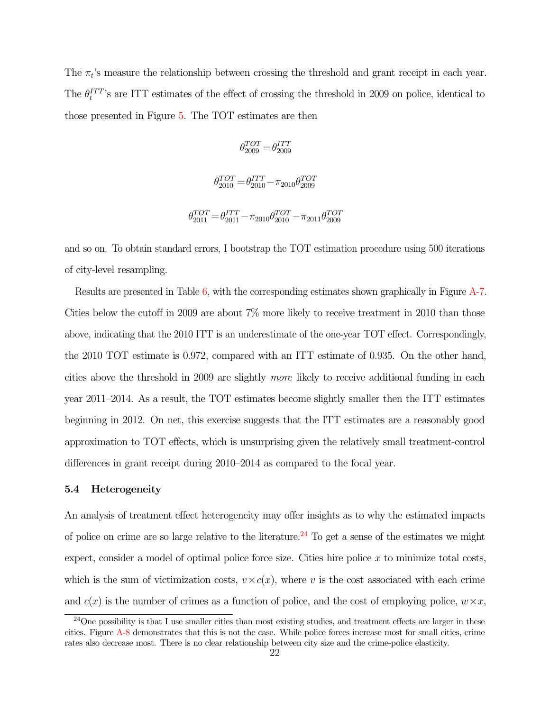The  $\pi_t$ 's measure the relationship between crossing the threshold and grant receipt in each year. The  $\theta_t^{ITT}$ 's are ITT estimates of the effect of crossing the threshold in 2009 on police, identical to those presented in Figure [5.](#page-35-0) The TOT estimates are then

$$
\theta^{TOT}_{2009}\!=\!\theta^{ITT}_{2009}
$$

$$
\theta_{2010}^{TOT} = \theta_{2010}^{ITT} - \pi_{2010} \theta_{2009}^{TOT}
$$

$$
\theta_{2011}^{TOT} = \theta_{2011}^{ITT} - \pi_{2010} \theta_{2010}^{TOT} - \pi_{2011} \theta_{2009}^{TOT}
$$

and so on. To obtain standard errors, I bootstrap the TOT estimation procedure using 500 iterations of city-level resampling.

Results are presented in Table [6,](#page-44-0) with the corresponding estimates shown graphically in Figure [A-7.](#page-51-0) Cities below the cutoff in 2009 are about 7% more likely to receive treatment in 2010 than those above, indicating that the 2010 ITT is an underestimate of the one-year TOT effect. Correspondingly, the 2010 TOT estimate is 0.972, compared with an ITT estimate of 0.935. On the other hand, cities above the threshold in 2009 are slightly more likely to receive additional funding in each year 2011–2014. As a result, the TOT estimates become slightly smaller then the ITT estimates beginning in 2012. On net, this exercise suggests that the ITT estimates are a reasonably good approximation to TOT effects, which is unsurprising given the relatively small treatment-control differences in grant receipt during 2010–2014 as compared to the focal year.

#### 5.4 Heterogeneity

An analysis of treatment effect heterogeneity may offer insights as to why the estimated impacts of police on crime are so large relative to the literature.<sup>[24](#page-22-0)</sup> To get a sense of the estimates we might expect, consider a model of optimal police force size. Cities hire police  $x$  to minimize total costs, which is the sum of victimization costs,  $v \times c(x)$ , where v is the cost associated with each crime and  $c(x)$  is the number of crimes as a function of police, and the cost of employing police,  $w \times x$ ,

<span id="page-22-0"></span><sup>&</sup>lt;sup>24</sup>One possibility is that I use smaller cities than most existing studies, and treatment effects are larger in these cities. Figure [A-8](#page-52-0) demonstrates that this is not the case. While police forces increase most for small cities, crime rates also decrease most. There is no clear relationship between city size and the crime-police elasticity.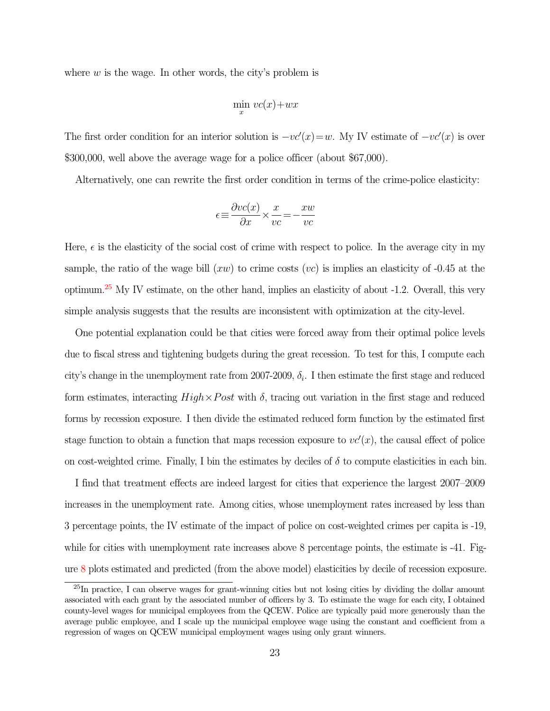where  $w$  is the wage. In other words, the city's problem is

$$
\min_x \, vc(x) + wx
$$

The first order condition for an interior solution is  $-vc'(x) = w$ . My IV estimate of  $-vc'(x)$  is over \$300,000, well above the average wage for a police officer (about \$67,000).

Alternatively, one can rewrite the first order condition in terms of the crime-police elasticity:

$$
\epsilon \!\equiv\! \frac{\partial vc(x)}{\partial x} \!\times\! \frac{x}{vc} \!=\! -\frac{xw}{vc}
$$

Here,  $\epsilon$  is the elasticity of the social cost of crime with respect to police. In the average city in my sample, the ratio of the wage bill  $(xw)$  to crime costs  $(vc)$  is implies an elasticity of -0.45 at the optimum.[25](#page-23-0) My IV estimate, on the other hand, implies an elasticity of about -1.2. Overall, this very simple analysis suggests that the results are inconsistent with optimization at the city-level.

One potential explanation could be that cities were forced away from their optimal police levels due to fiscal stress and tightening budgets during the great recession. To test for this, I compute each city's change in the unemployment rate from 2007-2009,  $\delta_i$ . I then estimate the first stage and reduced form estimates, interacting  $High \times Post$  with  $\delta$ , tracing out variation in the first stage and reduced forms by recession exposure. I then divide the estimated reduced form function by the estimated first stage function to obtain a function that maps recession exposure to  $vc'(x)$ , the causal effect of police on cost-weighted crime. Finally, I bin the estimates by deciles of  $\delta$  to compute elasticities in each bin.

I find that treatment effects are indeed largest for cities that experience the largest 2007–2009 increases in the unemployment rate. Among cities, whose unemployment rates increased by less than 3 percentage points, the IV estimate of the impact of police on cost-weighted crimes per capita is -19, while for cities with unemployment rate increases above 8 percentage points, the estimate is  $-41$ . Figure [8](#page-38-0) plots estimated and predicted (from the above model) elasticities by decile of recession exposure.

<span id="page-23-0"></span><sup>&</sup>lt;sup>25</sup>In practice. I can observe wages for grant-winning cities but not losing cities by dividing the dollar amount associated with each grant by the associated number of officers by 3. To estimate the wage for each city, I obtained county-level wages for municipal employees from the QCEW. Police are typically paid more generously than the average public employee, and I scale up the municipal employee wage using the constant and coefficient from a regression of wages on QCEW municipal employment wages using only grant winners.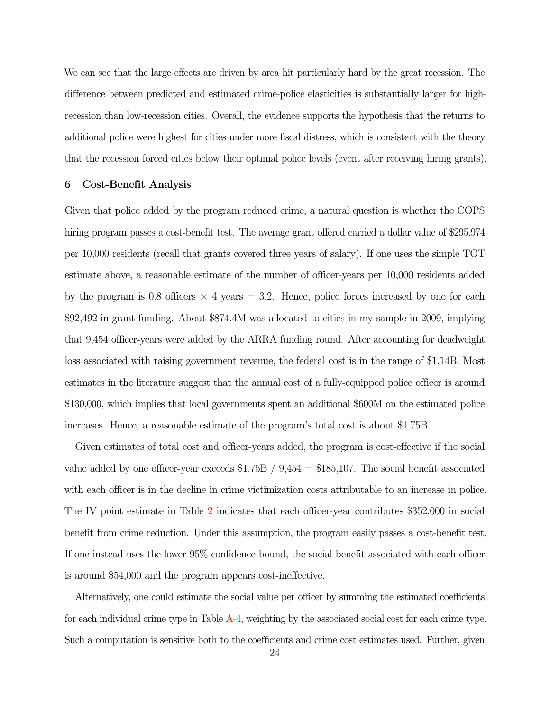We can see that the large effects are driven by area hit particularly hard by the great recession. The difference between predicted and estimated crime-police elasticities is substantially larger for highrecession than low-recession cities. Overall, the evidence supports the hypothesis that the returns to additional police were highest for cities under more fiscal distress, which is consistent with the theory that the recession forced cities below their optimal police levels (event after receiving hiring grants).

#### 6 Cost-Benefit Analysis

Given that police added by the program reduced crime, a natural question is whether the COPS hiring program passes a cost-benefit test. The average grant offered carried a dollar value of \$295,974 per 10,000 residents (recall that grants covered three years of salary). If one uses the simple TOT estimate above, a reasonable estimate of the number of officer-years per 10,000 residents added by the program is 0.8 officers  $\times$  4 years = 3.2. Hence, police forces increased by one for each \$92,492 in grant funding. About \$874.4M was allocated to cities in my sample in 2009, implying that 9,454 officer-years were added by the ARRA funding round. After accounting for deadweight loss associated with raising government revenue, the federal cost is in the range of \$1.14B. Most estimates in the literature suggest that the annual cost of a fully-equipped police officer is around \$130,000, which implies that local governments spent an additional \$600M on the estimated police increases. Hence, a reasonable estimate of the program's total cost is about \$1.75B.

Given estimates of total cost and officer-years added, the program is cost-effective if the social value added by one officer-year exceeds  $$1.75B / 9,454 = $185,107$ . The social benefit associated with each officer is in the decline in crime victimization costs attributable to an increase in police. The IV point estimate in Table [2](#page-40-0) indicates that each officer-year contributes \$352,000 in social benefit from crime reduction. Under this assumption, the program easily passes a cost-benefit test. If one instead uses the lower 95% confidence bound, the social benefit associated with each officer is around \$54,000 and the program appears cost-ineffective.

Alternatively, one could estimate the social value per officer by summing the estimated coefficients for each individual crime type in Table [A-4,](#page-56-0) weighting by the associated social cost for each crime type. Such a computation is sensitive both to the coefficients and crime cost estimates used. Further, given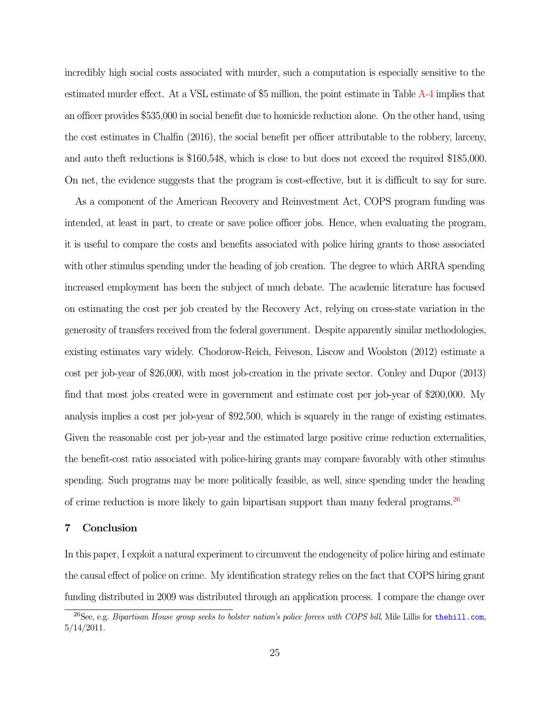incredibly high social costs associated with murder, such a computation is especially sensitive to the estimated murder effect. At a VSL estimate of \$5 million, the point estimate in Table [A-4](#page-56-0) implies that an officer provides \$535,000 in social benefit due to homicide reduction alone. On the other hand, using the cost estimates in Chalfin (2016), the social benefit per officer attributable to the robbery, larceny, and auto theft reductions is \$160,548, which is close to but does not exceed the required \$185,000. On net, the evidence suggests that the program is cost-effective, but it is difficult to say for sure.

As a component of the American Recovery and Reinvestment Act, COPS program funding was intended, at least in part, to create or save police officer jobs. Hence, when evaluating the program, it is useful to compare the costs and benefits associated with police hiring grants to those associated with other stimulus spending under the heading of job creation. The degree to which ARRA spending increased employment has been the subject of much debate. The academic literature has focused on estimating the cost per job created by the Recovery Act, relying on cross-state variation in the generosity of transfers received from the federal government. Despite apparently similar methodologies, existing estimates vary widely. Chodorow-Reich, Feiveson, Liscow and Woolston (2012) estimate a cost per job-year of \$26,000, with most job-creation in the private sector. Conley and Dupor (2013) find that most jobs created were in government and estimate cost per job-year of \$200,000. My analysis implies a cost per job-year of \$92,500, which is squarely in the range of existing estimates. Given the reasonable cost per job-year and the estimated large positive crime reduction externalities, the benefit-cost ratio associated with police-hiring grants may compare favorably with other stimulus spending. Such programs may be more politically feasible, as well, since spending under the heading of crime reduction is more likely to gain bipartisan support than many federal programs.[26](#page-25-0)

#### 7 Conclusion

In this paper, I exploit a natural experiment to circumvent the endogeneity of police hiring and estimate the causal effect of police on crime. My identification strategy relies on the fact that COPS hiring grant funding distributed in 2009 was distributed through an application process. I compare the change over

<span id="page-25-0"></span><sup>&</sup>lt;sup>26</sup>See, e.g. Bipartisan House group seeks to bolster nation's police forces with COPS bill, Mile Lillis for <thehill.com>, 5/14/2011.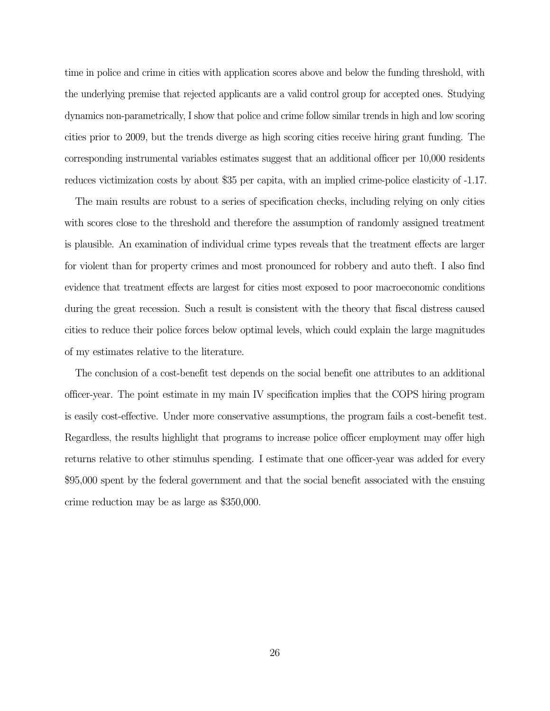time in police and crime in cities with application scores above and below the funding threshold, with the underlying premise that rejected applicants are a valid control group for accepted ones. Studying dynamics non-parametrically, I show that police and crime follow similar trends in high and low scoring cities prior to 2009, but the trends diverge as high scoring cities receive hiring grant funding. The corresponding instrumental variables estimates suggest that an additional officer per 10,000 residents reduces victimization costs by about \$35 per capita, with an implied crime-police elasticity of -1.17.

The main results are robust to a series of specification checks, including relying on only cities with scores close to the threshold and therefore the assumption of randomly assigned treatment is plausible. An examination of individual crime types reveals that the treatment effects are larger for violent than for property crimes and most pronounced for robbery and auto theft. I also find evidence that treatment effects are largest for cities most exposed to poor macroeconomic conditions during the great recession. Such a result is consistent with the theory that fiscal distress caused cities to reduce their police forces below optimal levels, which could explain the large magnitudes of my estimates relative to the literature.

The conclusion of a cost-benefit test depends on the social benefit one attributes to an additional officer-year. The point estimate in my main IV specification implies that the COPS hiring program is easily cost-effective. Under more conservative assumptions, the program fails a cost-benefit test. Regardless, the results highlight that programs to increase police officer employment may offer high returns relative to other stimulus spending. I estimate that one officer-year was added for every \$95,000 spent by the federal government and that the social benefit associated with the ensuing crime reduction may be as large as \$350,000.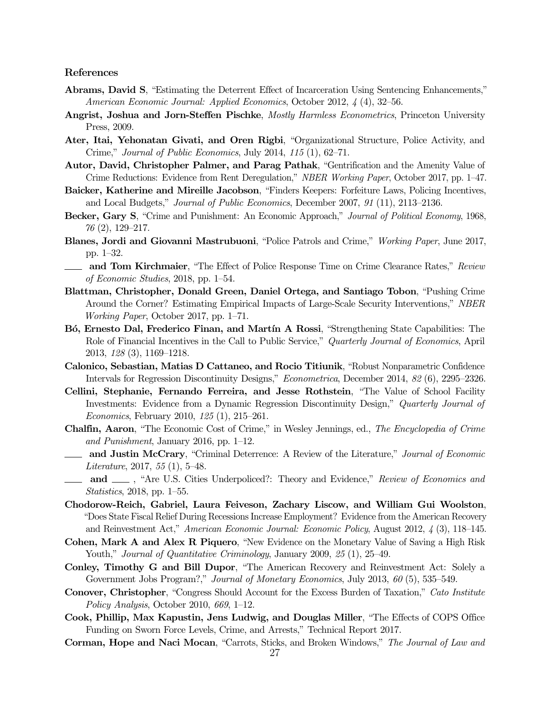#### References

- Abrams, David S, "Estimating the Deterrent Effect of Incarceration Using Sentencing Enhancements," American Economic Journal: Applied Economics, October 2012, 4 (4), 32–56.
- Angrist, Joshua and Jorn-Steffen Pischke, Mostly Harmless Econometrics, Princeton University Press, 2009.
- Ater, Itai, Yehonatan Givati, and Oren Rigbi, "Organizational Structure, Police Activity, and Crime," Journal of Public Economics, July 2014,  $115(1)$ , 62–71.
- Autor, David, Christopher Palmer, and Parag Pathak, "Gentrification and the Amenity Value of Crime Reductions: Evidence from Rent Deregulation," NBER Working Paper, October 2017, pp. 1–47.
- Baicker, Katherine and Mireille Jacobson, "Finders Keepers: Forfeiture Laws, Policing Incentives, and Local Budgets," Journal of Public Economics, December 2007, 91 (11), 2113–2136.
- Becker, Gary S, "Crime and Punishment: An Economic Approach," Journal of Political Economy, 1968, 76 (2), 129–217.
- Blanes, Jordi and Giovanni Mastrubuoni, "Police Patrols and Crime," Working Paper, June 2017, pp. 1–32.
- **and Tom Kirchmaier**, "The Effect of Police Response Time on Crime Clearance Rates," Review of Economic Studies, 2018, pp. 1–54.
- Blattman, Christopher, Donald Green, Daniel Ortega, and Santiago Tobon, "Pushing Crime Around the Corner? Estimating Empirical Impacts of Large-Scale Security Interventions," NBER Working Paper, October 2017, pp. 1–71.
- B<sup>o</sup>, Ernesto Dal, Frederico Finan, and Martín A Rossi, "Strengthening State Capabilities: The Role of Financial Incentives in the Call to Public Service," Quarterly Journal of Economics, April 2013, 128 (3), 1169–1218.
- Calonico, Sebastian, Matias D Cattaneo, and Rocio Titiunik, "Robust Nonparametric Confidence Intervals for Regression Discontinuity Designs," Econometrica, December 2014, 82 (6), 2295–2326.
- Cellini, Stephanie, Fernando Ferreira, and Jesse Rothstein, "The Value of School Facility Investments: Evidence from a Dynamic Regression Discontinuity Design," Quarterly Journal of Economics, February 2010, 125 (1), 215–261.
- Chalfin, Aaron, "The Economic Cost of Crime," in Wesley Jennings, ed., The Encyclopedia of Crime and Punishment, January 2016, pp. 1–12.
- **and Justin McCrary, "Criminal Deterrence: A Review of the Literature," Journal of Economic** Literature, 2017, 55  $(1)$ , 5-48.
- and  $\Box$ , "Are U.S. Cities Underpoliced?: Theory and Evidence," Review of Economics and Statistics, 2018, pp. 1–55.
- Chodorow-Reich, Gabriel, Laura Feiveson, Zachary Liscow, and William Gui Woolston, "Does State Fiscal Relief During Recessions Increase Employment? Evidence from the American Recovery and Reinvestment Act," American Economic Journal: Economic Policy, August 2012, 4 (3), 118–145.
- Cohen, Mark A and Alex R Piquero, "New Evidence on the Monetary Value of Saving a High Risk Youth," *Journal of Quantitative Criminology*, January 2009, 25 (1), 25–49.
- Conley, Timothy G and Bill Dupor, "The American Recovery and Reinvestment Act: Solely a Government Jobs Program?," Journal of Monetary Economics, July 2013, 60 (5), 535–549.
- Conover, Christopher, "Congress Should Account for the Excess Burden of Taxation," Cato Institute Policy Analysis, October 2010, 669, 1–12.
- Cook, Phillip, Max Kapustin, Jens Ludwig, and Douglas Miller, "The Effects of COPS Office Funding on Sworn Force Levels, Crime, and Arrests," Technical Report 2017.
- Corman, Hope and Naci Mocan, "Carrots, Sticks, and Broken Windows," The Journal of Law and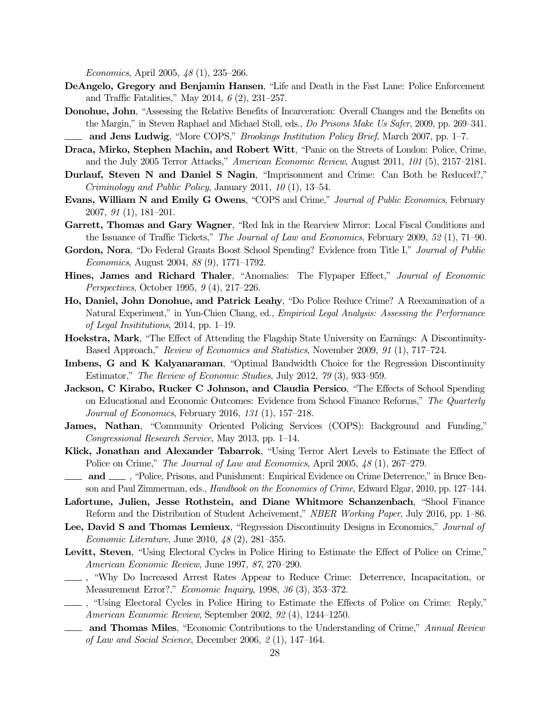Economics, April 2005, 48 (1), 235–266.

- DeAngelo, Gregory and Benjamin Hansen, "Life and Death in the Fast Lane: Police Enforcement and Traffic Fatalities," May 2014,  $6(2)$ , 231–257.
- Donohue, John, "Assessing the Relative Benefits of Incarceration: Overall Changes and the Benefits on the Margin," in Steven Raphael and Michael Stoll, eds., Do Prisons Make Us Safer, 2009, pp. 269–341. and Jens Ludwig, "More COPS," Brookings Institution Policy Brief, March 2007, pp. 1–7.
- Draca, Mirko, Stephen Machin, and Robert Witt, "Panic on the Streets of London: Police, Crime, and the July 2005 Terror Attacks," American Economic Review, August 2011, 101 (5), 2157–2181.
- Durlauf, Steven N and Daniel S Nagin, "Imprisonment and Crime: Can Both be Reduced?," Criminology and Public Policy, January 2011, 10 (1), 13–54.
- Evans, William N and Emily G Owens, "COPS and Crime," Journal of Public Economics, February 2007, 91 (1), 181–201.
- Garrett, Thomas and Gary Wagner, "Red Ink in the Rearview Mirror: Local Fiscal Conditions and the Issuance of Traffic Tickets," The Journal of Law and Economics, February 2009, 52 (1), 71–90.
- Gordon, Nora, "Do Federal Grants Boost School Spending? Evidence from Title I," Journal of Public Economics, August 2004, 88 (9), 1771–1792.
- Hines, James and Richard Thaler, "Anomalies: The Flypaper Effect," Journal of Economic Perspectives, October 1995, 9 (4), 217–226.
- Ho, Daniel, John Donohue, and Patrick Leahy, "Do Police Reduce Crime? A Reexamination of a Natural Experiment," in Yun-Chien Chang, ed., Empirical Legal Analysis: Assessing the Performance of Legal Insititutions, 2014, pp. 1–19.
- Hoekstra, Mark, "The Effect of Attending the Flagship State University on Earnings: A Discontinuity-Based Approach," Review of Economics and Statistics, November 2009, 91 (1), 717–724.
- Imbens, G and K Kalyanaraman, "Optimal Bandwidth Choice for the Regression Discontinuity Estimator," The Review of Economic Studies, July 2012, 79 (3), 933–959.
- Jackson, C Kirabo, Rucker C Johnson, and Claudia Persico, "The Effects of School Spending on Educational and Economic Outcomes: Evidence from School Finance Reforms," The Quarterly Journal of Economics, February 2016, 131 (1), 157–218.
- James, Nathan, "Community Oriented Policing Services (COPS): Background and Funding," Congressional Research Service, May 2013, pp. 1–14.
- Klick, Jonathan and Alexander Tabarrok, "Using Terror Alert Levels to Estimate the Effect of Police on Crime," The Journal of Law and Economics, April 2005, 48 (1), 267-279.
- and  $\_\_\_\$ , "Police, Prisons, and Punishment: Empirical Evidence on Crime Deterrence," in Bruce Benson and Paul Zimmerman, eds., *Handbook on the Economics of Crime*, Edward Elgar, 2010, pp. 127–144.
- Lafortune, Julien, Jesse Rothstein, and Diane Whitmore Schanzenbach, "Shool Finance Reform and the Distribution of Student Acheivement," NBER Working Paper, July 2016, pp. 1–86.
- Lee, David S and Thomas Lemieux, "Regression Discontinuity Designs in Economics," Journal of Economic Literature, June 2010, 48 (2), 281–355.
- Levitt, Steven, "Using Electoral Cycles in Police Hiring to Estimate the Effect of Police on Crime," American Economic Review, June 1997, 87, 270–290.
- , "Why Do Increased Arrest Rates Appear to Reduce Crime: Deterrence, Incapacitation, or Measurement Error?," Economic Inquiry, 1998, 36 (3), 353–372.
- , "Using Electoral Cycles in Police Hiring to Estimate the Effects of Police on Crime: Reply," American Economic Review, September 2002, 92 (4), 1244–1250.
- and Thomas Miles, "Economic Contributions to the Understanding of Crime," Annual Review of Law and Social Science, December 2006, 2 (1), 147–164.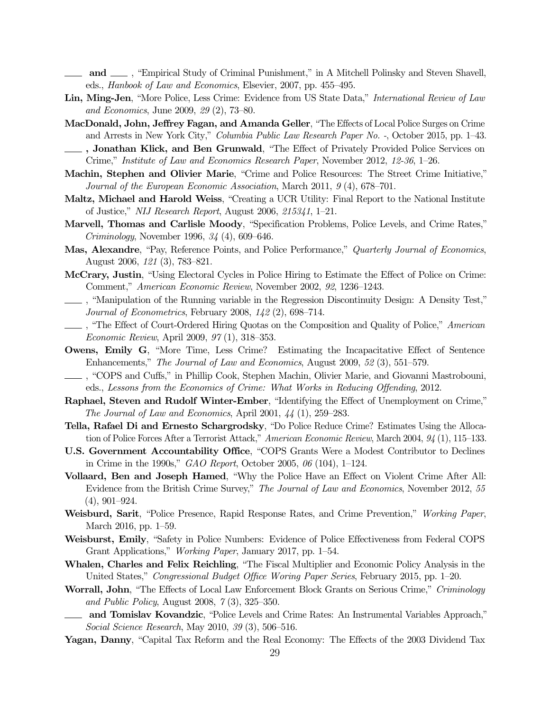- and  $\Box$ , "Empirical Study of Criminal Punishment," in A Mitchell Polinsky and Steven Shavell, eds., Hanbook of Law and Economics, Elsevier, 2007, pp. 455–495.
- Lin, Ming-Jen, "More Police, Less Crime: Evidence from US State Data," International Review of Law and Economics, June 2009, 29 (2), 73–80.
- MacDonald, John, Jeffrey Fagan, and Amanda Geller, "The Effects of Local Police Surges on Crime and Arrests in New York City," *Columbia Public Law Research Paper No.* -, October 2015, pp. 1–43.
- , Jonathan Klick, and Ben Grunwald, "The Effect of Privately Provided Police Services on Crime," Institute of Law and Economics Research Paper, November 2012, 12-36, 1–26.
- Machin, Stephen and Olivier Marie, "Crime and Police Resources: The Street Crime Initiative," Journal of the European Economic Association, March 2011, 9 (4), 678–701.
- Maltz, Michael and Harold Weiss, "Creating a UCR Utility: Final Report to the National Institute of Justice," NIJ Research Report, August 2006, 215341, 1–21.
- Marvell, Thomas and Carlisle Moody, "Specification Problems, Police Levels, and Crime Rates," *Criminology*, November 1996,  $34$  (4), 609–646.
- Mas, Alexandre, "Pay, Reference Points, and Police Performance," Quarterly Journal of Economics, August 2006, 121 (3), 783–821.
- McCrary, Justin, "Using Electoral Cycles in Police Hiring to Estimate the Effect of Police on Crime: Comment," American Economic Review, November 2002, 92, 1236–1243.
- , "Manipulation of the Running variable in the Regression Discontinuity Design: A Density Test," Journal of Econometrics, February 2008, 142 (2), 698–714.
- <sup>"</sup>The Effect of Court-Ordered Hiring Quotas on the Composition and Quality of Police," American Economic Review, April 2009, 97 (1), 318–353.
- Owens, Emily G, "More Time, Less Crime? Estimating the Incapacitative Effect of Sentence Enhancements," The Journal of Law and Economics, August 2009, 52 (3), 551–579.
- , "COPS and Cuffs," in Phillip Cook, Stephen Machin, Olivier Marie, and Giovanni Mastrobouni, eds., Lessons from the Economics of Crime: What Works in Reducing Offending, 2012.
- Raphael, Steven and Rudolf Winter-Ember, "Identifying the Effect of Unemployment on Crime," The Journal of Law and Economics, April 2001, 44 (1), 259–283.
- Tella, Rafael Di and Ernesto Schargrodsky, "Do Police Reduce Crime? Estimates Using the Allocation of Police Forces After a Terrorist Attack," American Economic Review, March 2004, 94 (1), 115–133.
- U.S. Government Accountability Office, "COPS Grants Were a Modest Contributor to Declines in Crime in the 1990s,"  $GAO$  Report, October 2005, 06 (104), 1–124.
- Vollaard, Ben and Joseph Hamed, "Why the Police Have an Effect on Violent Crime After All: Evidence from the British Crime Survey," The Journal of Law and Economics, November 2012, 55 (4), 901–924.
- Weisburd, Sarit, "Police Presence, Rapid Response Rates, and Crime Prevention," Working Paper, March 2016, pp. 1–59.
- Weisburst, Emily, "Safety in Police Numbers: Evidence of Police Effectiveness from Federal COPS Grant Applications," *Working Paper*, January 2017, pp. 1–54.
- Whalen, Charles and Felix Reichling, "The Fiscal Multiplier and Economic Policy Analysis in the United States," Congressional Budget Office Woring Paper Series, February 2015, pp. 1–20.
- Worrall, John, "The Effects of Local Law Enforcement Block Grants on Serious Crime," Criminology and Public Policy, August 2008, 7 (3), 325–350.
- and Tomislav Kovandzic, "Police Levels and Crime Rates: An Instrumental Variables Approach," Social Science Research, May 2010, 39 (3), 506–516.
- Yagan, Danny, "Capital Tax Reform and the Real Economy: The Effects of the 2003 Dividend Tax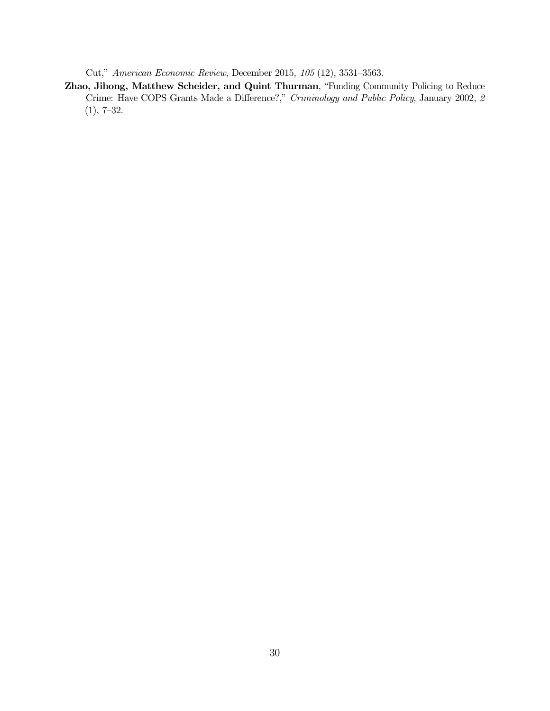Cut," American Economic Review, December 2015, 105 (12), 3531–3563.

Zhao, Jihong, Matthew Scheider, and Quint Thurman, "Funding Community Policing to Reduce Crime: Have COPS Grants Made a Difference?," Criminology and Public Policy, January 2002, 2 (1), 7–32.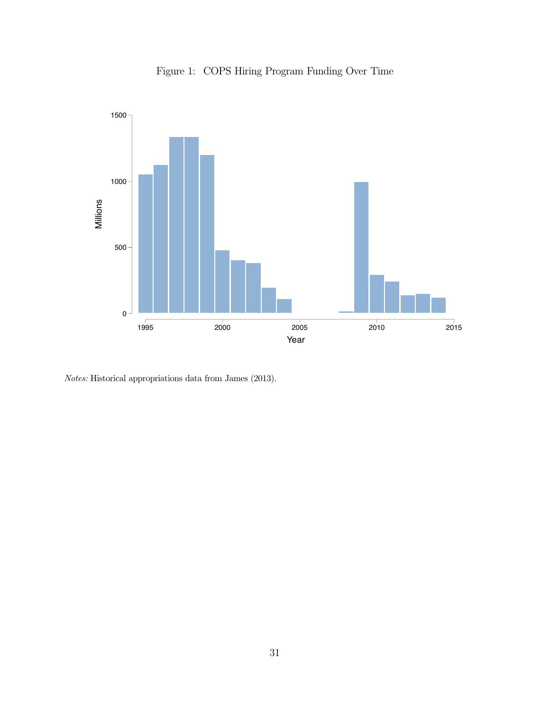

Figure 1: COPS Hiring Program Funding Over Time

Notes: Historical appropriations data from James (2013).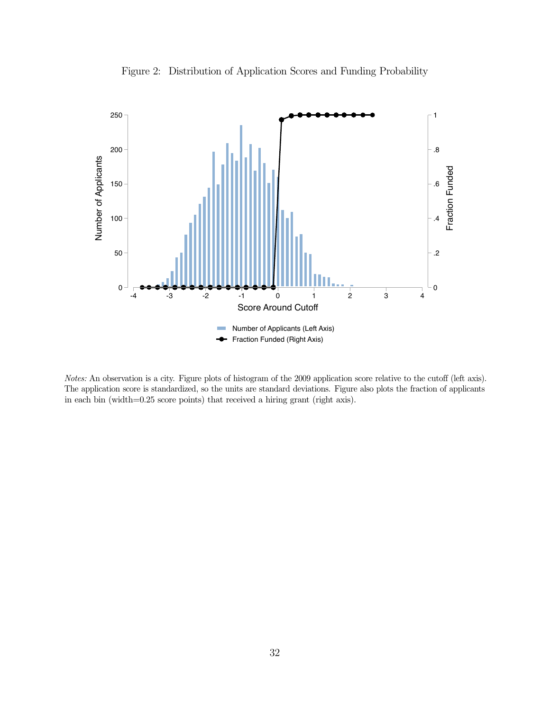<span id="page-32-0"></span>

Figure 2: Distribution of Application Scores and Funding Probability

Notes: An observation is a city. Figure plots of histogram of the 2009 application score relative to the cutoff (left axis). The application score is standardized, so the units are standard deviations. Figure also plots the fraction of applicants in each bin (width=0.25 score points) that received a hiring grant (right axis).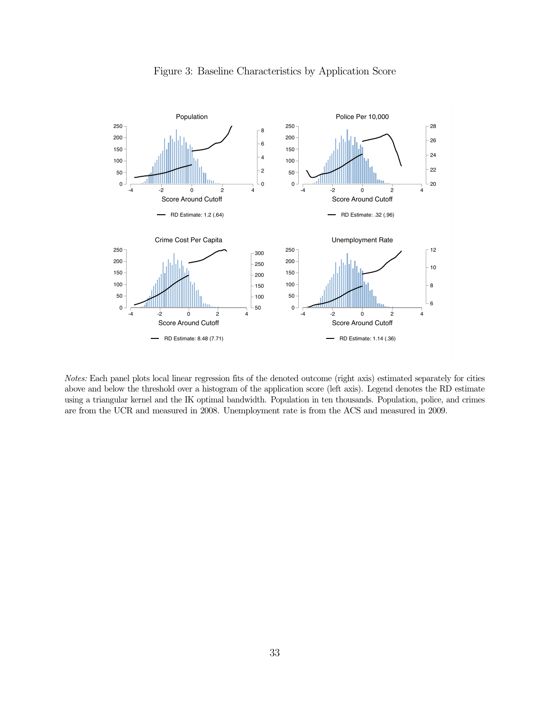<span id="page-33-0"></span>

Figure 3: Baseline Characteristics by Application Score

Notes: Each panel plots local linear regression fits of the denoted outcome (right axis) estimated separately for cities above and below the threshold over a histogram of the application score (left axis). Legend denotes the RD estimate using a triangular kernel and the IK optimal bandwidth. Population in ten thousands. Population, police, and crimes are from the UCR and measured in 2008. Unemployment rate is from the ACS and measured in 2009.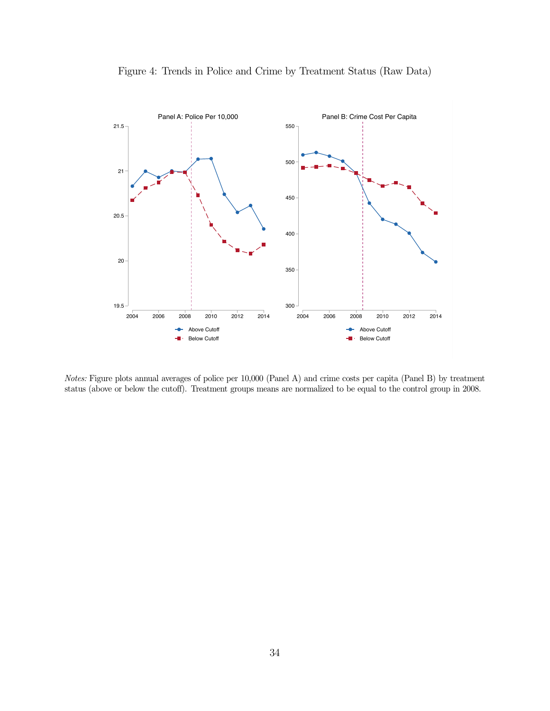<span id="page-34-0"></span>

Figure 4: Trends in Police and Crime by Treatment Status (Raw Data)

Notes: Figure plots annual averages of police per 10,000 (Panel A) and crime costs per capita (Panel B) by treatment status (above or below the cutoff). Treatment groups means are normalized to be equal to the control group in 2008.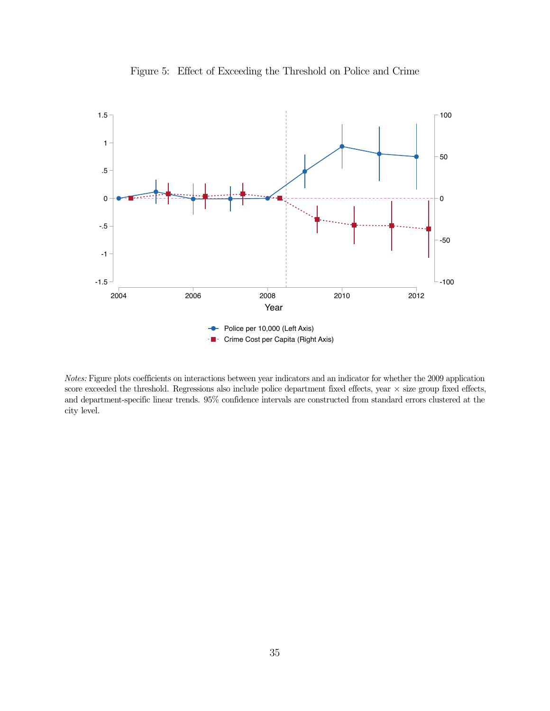<span id="page-35-0"></span>

Figure 5: Effect of Exceeding the Threshold on Police and Crime

Notes: Figure plots coefficients on interactions between year indicators and an indicator for whether the 2009 application score exceeded the threshold. Regressions also include police department fixed effects, year  $\times$  size group fixed effects, and department-specific linear trends. 95% confidence intervals are constructed from standard errors clustered at the city level.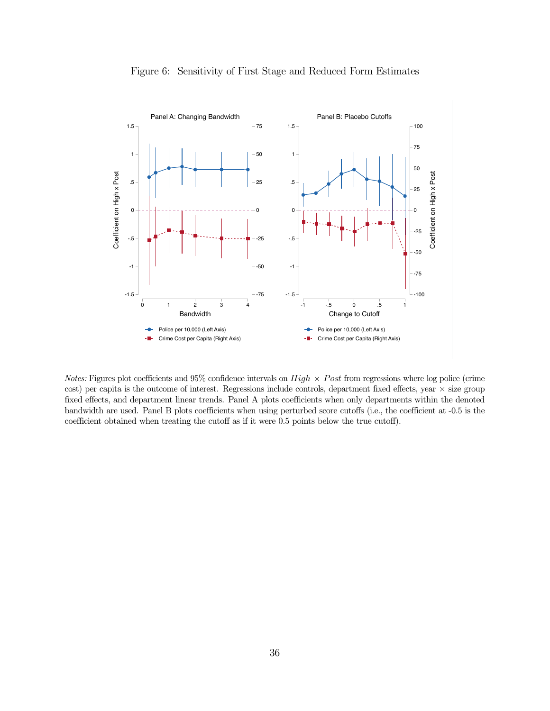<span id="page-36-0"></span>

Figure 6: Sensitivity of First Stage and Reduced Form Estimates

Notes: Figures plot coefficients and 95% confidence intervals on  $High \times Post$  from regressions where log police (crime cost) per capita is the outcome of interest. Regressions include controls, department fixed effects, year  $\times$  size group fixed effects, and department linear trends. Panel A plots coefficients when only departments within the denoted bandwidth are used. Panel B plots coefficients when using perturbed score cutoffs (i.e., the coefficient at -0.5 is the coefficient obtained when treating the cutoff as if it were 0.5 points below the true cutoff).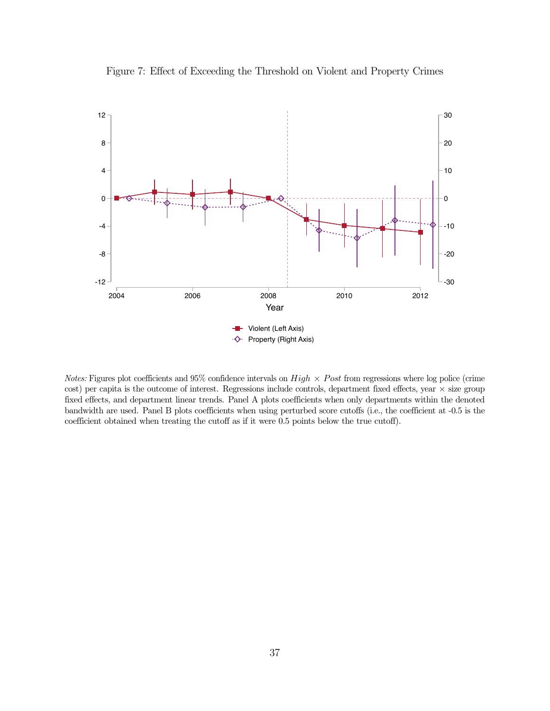<span id="page-37-0"></span>

Figure 7: Effect of Exceeding the Threshold on Violent and Property Crimes

Notes: Figures plot coefficients and 95% confidence intervals on  $High \times Post$  from regressions where log police (crime cost) per capita is the outcome of interest. Regressions include controls, department fixed effects, year  $\times$  size group fixed effects, and department linear trends. Panel A plots coefficients when only departments within the denoted bandwidth are used. Panel B plots coefficients when using perturbed score cutoffs (i.e., the coefficient at -0.5 is the coefficient obtained when treating the cutoff as if it were 0.5 points below the true cutoff).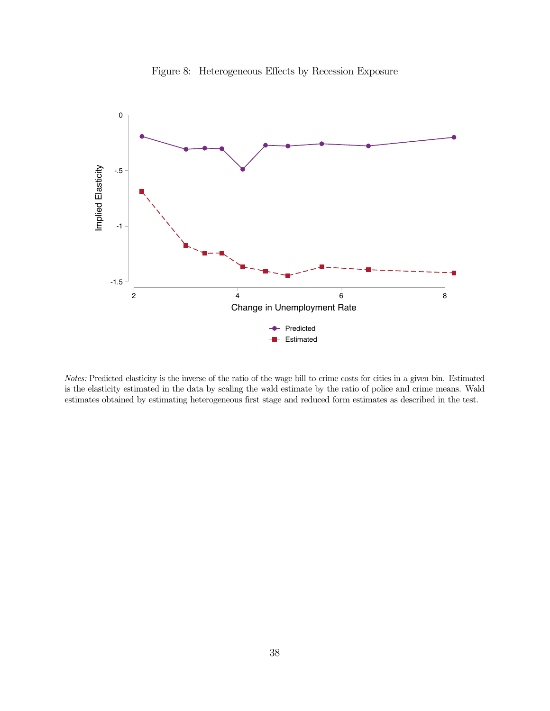<span id="page-38-0"></span>

Figure 8: Heterogeneous Effects by Recession Exposure

Notes: Predicted elasticity is the inverse of the ratio of the wage bill to crime costs for cities in a given bin. Estimated is the elasticity estimated in the data by scaling the wald estimate by the ratio of police and crime means. Wald estimates obtained by estimating heterogeneous first stage and reduced form estimates as described in the test.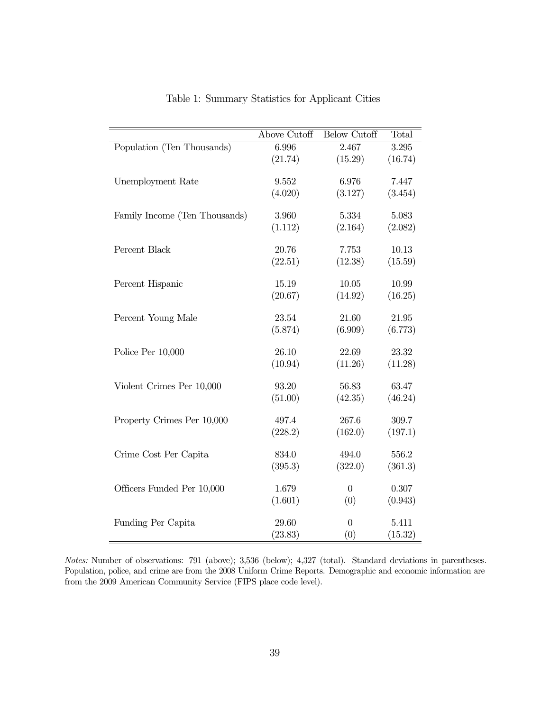<span id="page-39-0"></span>

|                               | <b>Above Cutoff</b> | <b>Below Cutoff</b> | Total     |
|-------------------------------|---------------------|---------------------|-----------|
| Population (Ten Thousands)    | 6.996               | 2.467               | $3.295\,$ |
|                               | (21.74)             | (15.29)             | (16.74)   |
|                               |                     |                     |           |
| Unemployment Rate             | $\ 9.552$           | 6.976               | 7.447     |
|                               | (4.020)             | (3.127)             | (3.454)   |
| Family Income (Ten Thousands) | 3.960               | 5.334               | 5.083     |
|                               | (1.112)             | (2.164)             | (2.082)   |
|                               |                     |                     |           |
| Percent Black                 | 20.76               | 7.753               | 10.13     |
|                               | (22.51)             | (12.38)             | (15.59)   |
| Percent Hispanic              | 15.19               | 10.05               | 10.99     |
|                               | (20.67)             | (14.92)             | (16.25)   |
|                               |                     |                     |           |
| Percent Young Male            | 23.54               | 21.60               | 21.95     |
|                               | (5.874)             | (6.909)             | (6.773)   |
| Police Per 10,000             | 26.10               | 22.69               | 23.32     |
|                               | (10.94)             | (11.26)             | (11.28)   |
|                               |                     |                     |           |
| Violent Crimes Per 10,000     | 93.20               | 56.83               | 63.47     |
|                               | (51.00)             | (42.35)             | (46.24)   |
|                               |                     |                     |           |
| Property Crimes Per 10,000    | 497.4               | 267.6               | 309.7     |
|                               | (228.2)             | (162.0)             | (197.1)   |
| Crime Cost Per Capita         | 834.0               | 494.0               | 556.2     |
|                               | (395.3)             | (322.0)             | (361.3)   |
|                               |                     |                     |           |
| Officers Funded Per 10,000    | 1.679               | $\overline{0}$      | 0.307     |
|                               | (1.601)             | (0)                 | (0.943)   |
| Funding Per Capita            | 29.60               | $\overline{0}$      | 5.411     |
|                               |                     |                     |           |
|                               | (23.83)             | (0)                 | (15.32)   |

Table 1: Summary Statistics for Applicant Cities

Notes: Number of observations: 791 (above); 3,536 (below); 4,327 (total). Standard deviations in parentheses. Population, police, and crime are from the 2008 Uniform Crime Reports. Demographic and economic information are from the 2009 American Community Service (FIPS place code level).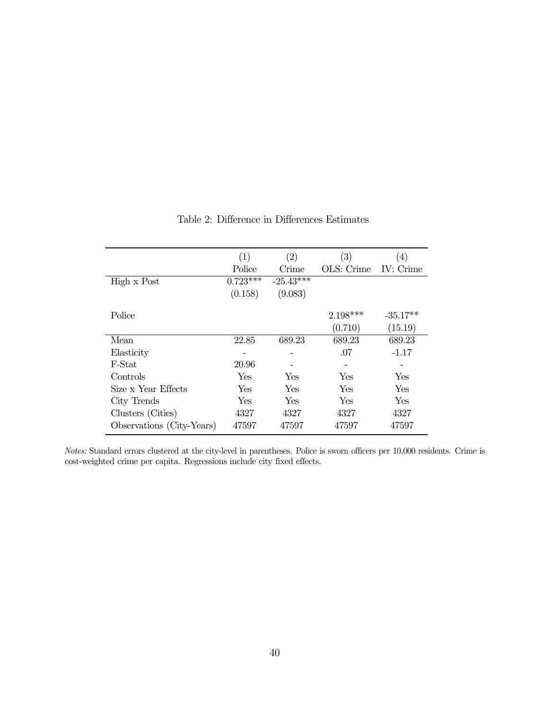<span id="page-40-0"></span>

|                           | (1)        | (2)         | (3)        | $\left( 4\right)$ |
|---------------------------|------------|-------------|------------|-------------------|
|                           | Police     | Crime       | OLS: Crime | IV: Crime         |
| High x Post               | $0.723***$ | $-25.43***$ |            |                   |
|                           | (0.158)    | (9.083)     |            |                   |
| Police                    |            |             | $2.198***$ | $-35.17**$        |
|                           |            |             | (0.710)    | (15.19)           |
| Mean                      | 22.85      | 689.23      | 689.23     | 689.23            |
| Elasticity                |            |             | .07        | $-1.17$           |
| F-Stat                    | 20.96      |             |            |                   |
| Controls                  | Yes        | Yes         | Yes        | Yes               |
| Size x Year Effects       | Yes        | Yes         | Yes        | Yes               |
| City Trends               | Yes        | Yes         | Yes        | Yes               |
| Clusters (Cities)         | 4327       | 4327        | 4327       | 4327              |
| Observations (City-Years) | 47597      | 47597       | 47597      | 47597             |

## Table 2: Difference in Differences Estimates

Notes: Standard errors clustered at the city-level in parentheses. Police is sworn officers per 10,000 residents. Crime is cost-weighted crime per capita. Regressions include city fixed effects.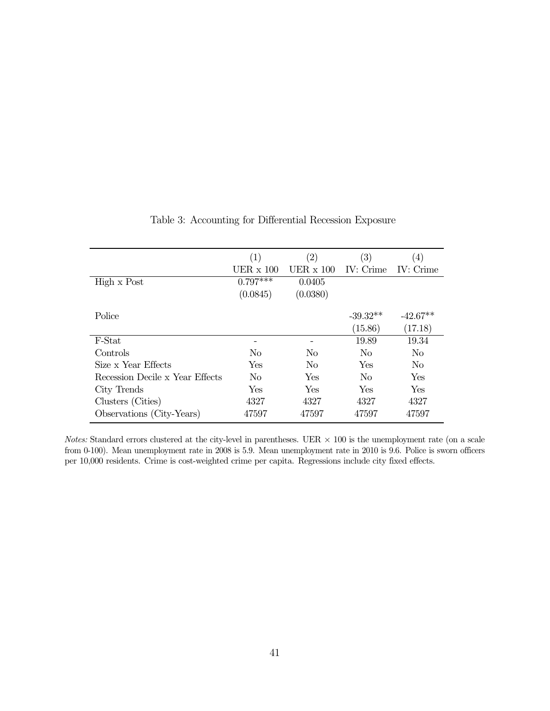<span id="page-41-0"></span>

|                                 | $\left( 1\right)$ | $\left( 2\right)$ | $\left( 3\right)$ | (4)            |
|---------------------------------|-------------------|-------------------|-------------------|----------------|
|                                 | UER $x$ 100       | UER $\times$ 100  | IV: Crime         | IV: Crime      |
| High x Post                     | $0.797***$        | 0.0405            |                   |                |
|                                 | (0.0845)          | (0.0380)          |                   |                |
|                                 |                   |                   |                   |                |
| Police                          |                   |                   | $-39.32**$        | $-42.67**$     |
|                                 |                   |                   | (15.86)           | (17.18)        |
| F-Stat                          |                   |                   | 19.89             | 19.34          |
| Controls                        | N <sub>0</sub>    | N <sub>0</sub>    | N <sub>0</sub>    | N <sub>0</sub> |
| Size x Year Effects             | Yes               | No                | Yes               | No             |
| Recession Decile x Year Effects | N <sub>0</sub>    | Yes               | N <sub>0</sub>    | Yes            |
| City Trends                     | Yes               | Yes               | Yes               | Yes            |
| Clusters (Cities)               | 4327              | 4327              | 4327              | 4327           |
| Observations (City-Years)       | 47597             | 47597             | 47597             | 47597          |

### Table 3: Accounting for Differential Recession Exposure

Notes: Standard errors clustered at the city-level in parentheses. UER  $\times$  100 is the unemployment rate (on a scale from 0-100). Mean unemployment rate in 2008 is 5.9. Mean unemployment rate in 2010 is 9.6. Police is sworn officers per 10,000 residents. Crime is cost-weighted crime per capita. Regressions include city fixed effects.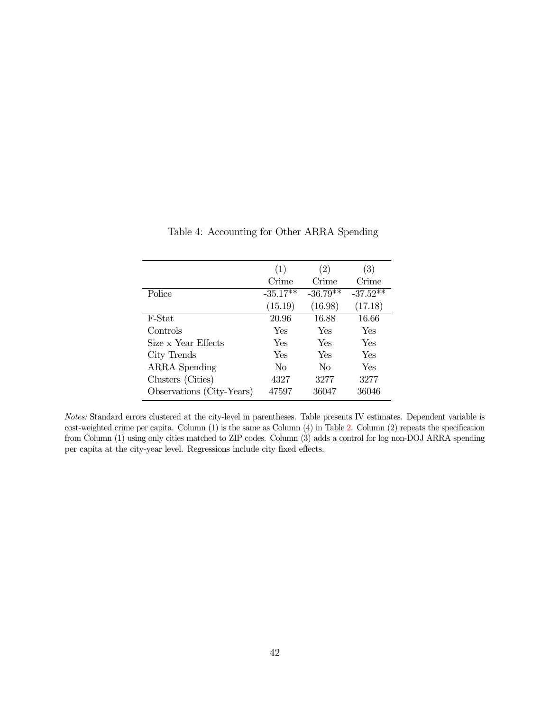<span id="page-42-0"></span>

|                           | (1)        | $\left( 2\right)$ | (3)        |
|---------------------------|------------|-------------------|------------|
|                           | Crime      | Crime             | Crime      |
| Police                    | $-35.17**$ | $-36.79**$        | $-37.52**$ |
|                           | (15.19)    | (16.98)           | (17.18)    |
| F-Stat                    | 20.96      | 16.88             | 16.66      |
| Controls                  | Yes        | Yes               | Yes        |
| Size x Year Effects       | Yes        | Yes               | Yes        |
| City Trends               | Yes        | Yes               | Yes        |
| <b>ARRA</b> Spending      | No         | No                | Yes        |
| Clusters (Cities)         | 4327       | 3277              | 3277       |
| Observations (City-Years) | 47597      | 36047             | 36046      |

Table 4: Accounting for Other ARRA Spending

Notes: Standard errors clustered at the city-level in parentheses. Table presents IV estimates. Dependent variable is cost-weighted crime per capita. Column  $(1)$  is the same as Column  $(4)$  in Table [2.](#page-40-0) Column  $(2)$  repeats the specification from Column (1) using only cities matched to ZIP codes. Column (3) adds a control for log non-DOJ ARRA spending per capita at the city-year level. Regressions include city fixed effects.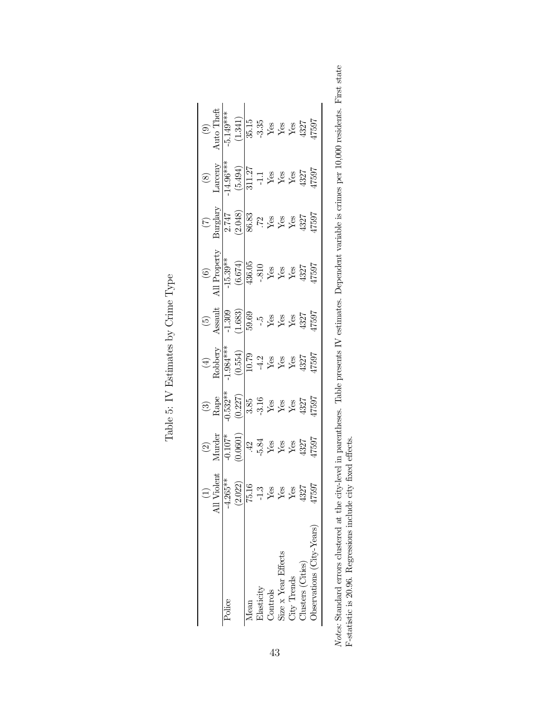|                                                                     |                                                                       |                                                                             |                                                                                                                                                                                                                                                                                                                                                                                                                                                                                    | $\begin{array}{c} \text{(4)} \\ \text{Robberg} \\ \text{(0.554)} \\ \text{(0.554)} \\ \text{(10.79)} \\ \text{Yes} \\ \text{Yes} \\ \text{Xes} \\ \text{Xes} \\ \text{Xes} \\ \text{(132)} \\ \text{Xes} \\ \text{Xes} \\ \text{Xes} \\ \text{Xes} \\ \text{Xes} \\ \text{Xes} \\ \text{Xes} \\ \text{Xes} \\ \text{Xes} \\ \text{Xes} \\ \text{Xes} \\ \text{Xes} \\ \text{Xes} \\ \text{Xes} \\ \text{Xes} \\ \text{Xes} \\ \text{Xes} \\ \text{Xes} \\ \$ |                                                                                                                                                                                                                                                                                                 | $\begin{array}{l} \text{(6)} \\ \text{all Property} \\ \hline -15.39^{**} \\ \hline (6.674) \\ \text{(6.674)} \\ -810 \\ \text{Yes} \\ \text{Yes} \\ \text{Yes} \\ \text{Yes} \\ \text{Yes} \\ \text{Yes} \\ \text{Yes} \\ \text{Yes} \\ \text{Yes} \\ \text{Yes} \\ \text{Yes} \\ \text{Yes} \\ \text{Yes} \\ \text{Yes} \\ \text{Yes} \\ \text{Yes} \\ \text{Yes} \\ \text{Yes} \\ \text{Yes} \\ \text{Yes} \\ \text{Yes} \\ \text{Yes} \\ \text{Yes} \\ \text{Yes} \\ \text{Yes} \\ \text{Yes} \\ \text{Yes}$ | $\begin{array}{c} (7) \\ \hline 0 \\ \hline 2.747 \\ (2.048) \\ (36.83 \\ \hline 3 \\ (72 \\ \hline \end{array} \quad \  \  \, \rm{We} \\ Y_{4} \\ Y_{5} \\ Y_{6} \\ Y_{7} \\ Y_{8} \\ 4327 \\ 437 \\ 47597 \\$ | $\begin{array}{r} (8) \\ \text{Larceny} \\ \hline 14.96^{***} \\ \hline (5.494) \\ \hline 311.27 \\ \text{Ves} \\ \text{Yes} \\ \text{Xes} \\ \text{Xes} \\ \text{Xes} \\ \text{Xes} \\ \text{Xes} \\ \text{Xes} \\ \text{Xes} \\ \text{Xes} \\ \text{Xes} \\ \text{Xes} \\ \text{Xes} \\ \text{Xes} \\ \text{Xes} \\ \text{Xes} \\ \text{Xes} \\ \text{Xes} \\ \text{Xes} \\ \text{Xes} \\ \text{Xes} \\ \text{Xes} \\ \text{Xes} \\ \text{Xes$ | (9)<br>Auto Theft<br>$\frac{-5.149***}{(1.341)}$<br>35.15<br>Yes<br>Yes<br>Yes<br>Yes<br>Yes<br>H7597 |
|---------------------------------------------------------------------|-----------------------------------------------------------------------|-----------------------------------------------------------------------------|------------------------------------------------------------------------------------------------------------------------------------------------------------------------------------------------------------------------------------------------------------------------------------------------------------------------------------------------------------------------------------------------------------------------------------------------------------------------------------|--------------------------------------------------------------------------------------------------------------------------------------------------------------------------------------------------------------------------------------------------------------------------------------------------------------------------------------------------------------------------------------------------------------------------------------------------------------|-------------------------------------------------------------------------------------------------------------------------------------------------------------------------------------------------------------------------------------------------------------------------------------------------|------------------------------------------------------------------------------------------------------------------------------------------------------------------------------------------------------------------------------------------------------------------------------------------------------------------------------------------------------------------------------------------------------------------------------------------------------------------------------------------------------------------|-----------------------------------------------------------------------------------------------------------------------------------------------------------------------------------------------------------------|--------------------------------------------------------------------------------------------------------------------------------------------------------------------------------------------------------------------------------------------------------------------------------------------------------------------------------------------------------------------------------------------------------------------------------------------------|-------------------------------------------------------------------------------------------------------|
|                                                                     | $r_{\mbox{\small{lo}lent}}$                                           |                                                                             |                                                                                                                                                                                                                                                                                                                                                                                                                                                                                    |                                                                                                                                                                                                                                                                                                                                                                                                                                                              |                                                                                                                                                                                                                                                                                                 |                                                                                                                                                                                                                                                                                                                                                                                                                                                                                                                  |                                                                                                                                                                                                                 |                                                                                                                                                                                                                                                                                                                                                                                                                                                  |                                                                                                       |
| Police                                                              |                                                                       |                                                                             |                                                                                                                                                                                                                                                                                                                                                                                                                                                                                    |                                                                                                                                                                                                                                                                                                                                                                                                                                                              |                                                                                                                                                                                                                                                                                                 |                                                                                                                                                                                                                                                                                                                                                                                                                                                                                                                  |                                                                                                                                                                                                                 |                                                                                                                                                                                                                                                                                                                                                                                                                                                  |                                                                                                       |
|                                                                     | $\frac{4.265**}{(2.022)}$<br>$\frac{(2.022)}{75.16}$<br>$-1.3$<br>Yes | $\frac{(2)}{4 \text{under}}$<br>$\frac{4 \text{under}}{107}$<br>0.0601)     | $\begin{array}{c} (3)\\ {\rm Range}\\ \frac{(0.532^{**})}{0.532^{**}}\\ \text{3.85}\\ -3.16\\ \text{Yes}\\ \text{Yes}\\ \text{Yes}\\ \text{Xes}\\ \text{Xes}\\ \text{Xes}\\ \text{Xes}\\ \text{Xes}\\ \text{Xes}\\ \text{Xes}\\ \text{Xes}\\ \text{Xes}\\ \text{Xes}\\ \text{Xes}\\ \text{Xes}\\ \text{Xes}\\ \text{Xes}\\ \text{Xes}\\ \text{Xes}\\ \text{Xes}\\ \text{Xes}\\ \text{Xes}\\ \text{Xes}\\ \text{Xes}\\ \text{Xes}\\ \text{Xes}\\ \text{Xes}\\ \text{Xes}\\ \text{X$ |                                                                                                                                                                                                                                                                                                                                                                                                                                                              | $\begin{array}{c} (5) \\ \text{Assault} \\ \text{Assult} \\ \text{-1.309} \\ \text{-1.309} \\ \text{-5.5} \\ \text{Yes} \\ \text{Yes} \\ \text{Yes} \\ \text{Yes} \\ \text{Yes} \\ \text{1.307} \\ \text{-5.597} \\ \text{Yes} \\ \text{-4327} \\ \text{-4327} \\ \text{-5.597} \\ \end{array}$ |                                                                                                                                                                                                                                                                                                                                                                                                                                                                                                                  |                                                                                                                                                                                                                 |                                                                                                                                                                                                                                                                                                                                                                                                                                                  |                                                                                                       |
| Mean                                                                |                                                                       |                                                                             |                                                                                                                                                                                                                                                                                                                                                                                                                                                                                    |                                                                                                                                                                                                                                                                                                                                                                                                                                                              |                                                                                                                                                                                                                                                                                                 |                                                                                                                                                                                                                                                                                                                                                                                                                                                                                                                  |                                                                                                                                                                                                                 |                                                                                                                                                                                                                                                                                                                                                                                                                                                  |                                                                                                       |
| $\mathop{\rm \mathbf{cl}}\nolimits$ asticity                        |                                                                       |                                                                             |                                                                                                                                                                                                                                                                                                                                                                                                                                                                                    |                                                                                                                                                                                                                                                                                                                                                                                                                                                              |                                                                                                                                                                                                                                                                                                 |                                                                                                                                                                                                                                                                                                                                                                                                                                                                                                                  |                                                                                                                                                                                                                 |                                                                                                                                                                                                                                                                                                                                                                                                                                                  |                                                                                                       |
|                                                                     |                                                                       |                                                                             |                                                                                                                                                                                                                                                                                                                                                                                                                                                                                    |                                                                                                                                                                                                                                                                                                                                                                                                                                                              |                                                                                                                                                                                                                                                                                                 |                                                                                                                                                                                                                                                                                                                                                                                                                                                                                                                  |                                                                                                                                                                                                                 |                                                                                                                                                                                                                                                                                                                                                                                                                                                  |                                                                                                       |
|                                                                     |                                                                       |                                                                             |                                                                                                                                                                                                                                                                                                                                                                                                                                                                                    |                                                                                                                                                                                                                                                                                                                                                                                                                                                              |                                                                                                                                                                                                                                                                                                 |                                                                                                                                                                                                                                                                                                                                                                                                                                                                                                                  |                                                                                                                                                                                                                 |                                                                                                                                                                                                                                                                                                                                                                                                                                                  |                                                                                                       |
|                                                                     |                                                                       |                                                                             |                                                                                                                                                                                                                                                                                                                                                                                                                                                                                    |                                                                                                                                                                                                                                                                                                                                                                                                                                                              |                                                                                                                                                                                                                                                                                                 |                                                                                                                                                                                                                                                                                                                                                                                                                                                                                                                  |                                                                                                                                                                                                                 |                                                                                                                                                                                                                                                                                                                                                                                                                                                  |                                                                                                       |
| Controls<br>Size x Year Effects<br>City Trends<br>Clusters (Cities) | $\frac{\text{Yes}}{4327}$                                             | $\frac{1}{4}$<br>$\frac{34}{10}$<br>$\frac{34}{100}$<br>$\frac{4327}{1007}$ |                                                                                                                                                                                                                                                                                                                                                                                                                                                                                    |                                                                                                                                                                                                                                                                                                                                                                                                                                                              |                                                                                                                                                                                                                                                                                                 |                                                                                                                                                                                                                                                                                                                                                                                                                                                                                                                  |                                                                                                                                                                                                                 |                                                                                                                                                                                                                                                                                                                                                                                                                                                  |                                                                                                       |
| bservations (City-Years)                                            |                                                                       |                                                                             |                                                                                                                                                                                                                                                                                                                                                                                                                                                                                    |                                                                                                                                                                                                                                                                                                                                                                                                                                                              |                                                                                                                                                                                                                                                                                                 |                                                                                                                                                                                                                                                                                                                                                                                                                                                                                                                  |                                                                                                                                                                                                                 |                                                                                                                                                                                                                                                                                                                                                                                                                                                  |                                                                                                       |

Table 5: IV Estimates by Crime Type Table 5: IV Estimates by Crime Type

Notes: Standard errors clustered at the city-level in parentheses. Table presents IV estimates. Dependent variable is crimes per 10,000 residents. First state F-statistic is 20.96. Regressions include city fixed effects. Notes: Standard errors clustered at the city-level in parentheses. Table presents IV estimates. Dependent variable is crimes per 10,000 residents. First state F-statistic is 20.96. Regressions include city fixed effects.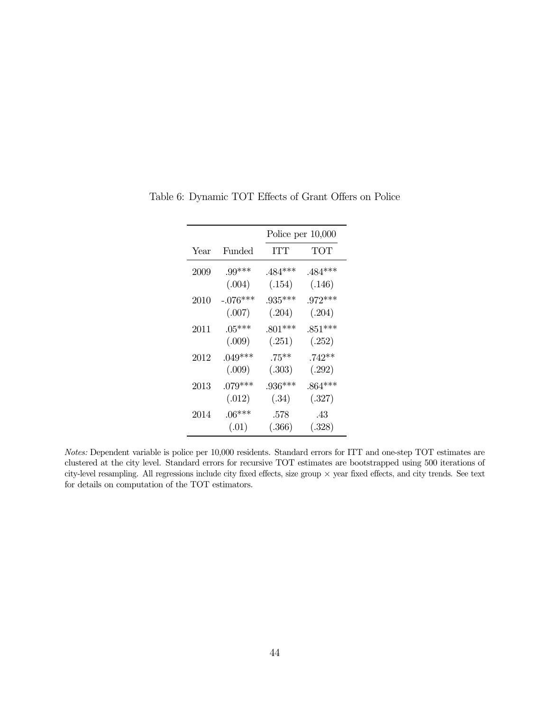|          |            | Police per $10,000$ |           |
|----------|------------|---------------------|-----------|
| Year     | Funded     | ITT                 | ТОТ       |
| 2009     | $.99***$   | .484***             | .484***   |
|          | (.004)     | (.154)              | (.146)    |
| $2010\,$ | $-.076***$ | $.935***$           | $.972***$ |
|          | (.007)     | (.204)              | (.204)    |
| 2011     | $.05***$   | $.801***$           | $.851***$ |
|          | (.009)     | (.251)              | (.252)    |
| 2012     | $.049***$  | $.75***$            | $.742**$  |
|          | (.009)     | (.303)              | (.292)    |
| $2013\,$ | $.079***$  | $.936***$           | $.864***$ |
|          | (.012)     | (.34)               | (.327)    |
| 2014     | $.06***$   | .578                | .43       |
|          | (.01)      | (.366)              | (.328)    |

<span id="page-44-0"></span>Table 6: Dynamic TOT Effects of Grant Offers on Police

Notes: Dependent variable is police per 10,000 residents. Standard errors for ITT and one-step TOT estimates are clustered at the city level. Standard errors for recursive TOT estimates are bootstrapped using 500 iterations of city-level resampling. All regressions include city fixed effects, size group × year fixed effects, and city trends. See text for details on computation of the TOT estimators.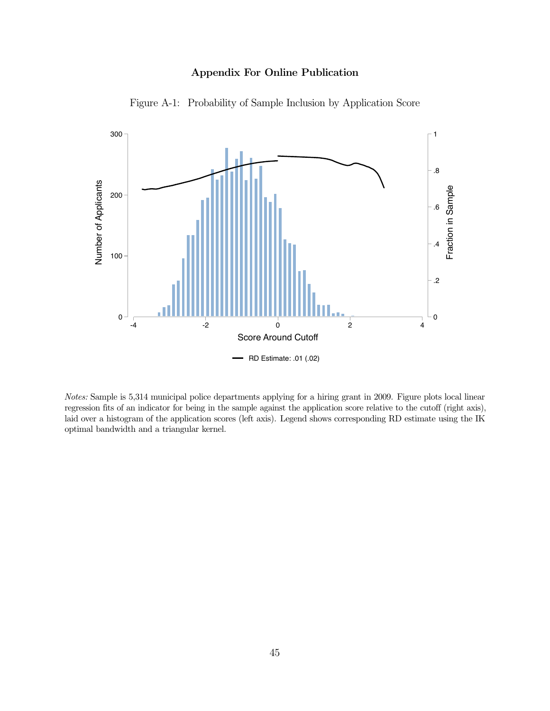### Appendix For Online Publication



Figure A-1: Probability of Sample Inclusion by Application Score

Notes: Sample is 5,314 municipal police departments applying for a hiring grant in 2009. Figure plots local linear regression fits of an indicator for being in the sample against the application score relative to the cutoff (right axis), laid over a histogram of the application scores (left axis). Legend shows corresponding RD estimate using the IK optimal bandwidth and a triangular kernel.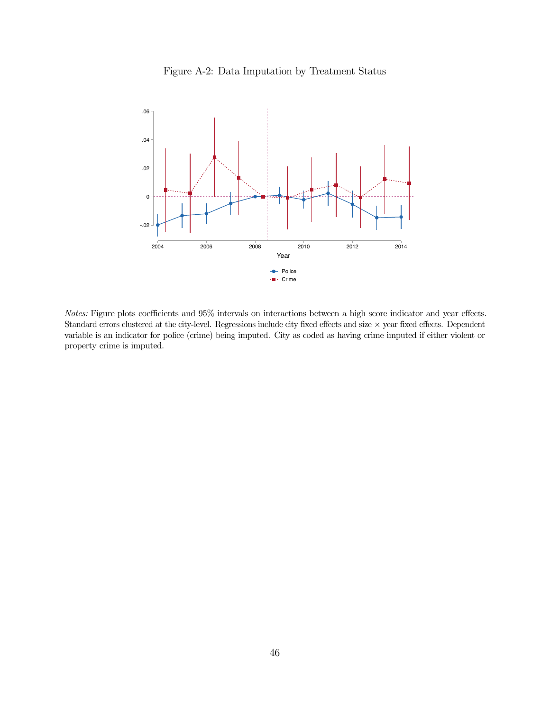

<span id="page-46-0"></span>

Notes: Figure plots coefficients and 95% intervals on interactions between a high score indicator and year effects. Standard errors clustered at the city-level. Regressions include city fixed effects and size  $\times$  year fixed effects. Dependent variable is an indicator for police (crime) being imputed. City as coded as having crime imputed if either violent or property crime is imputed.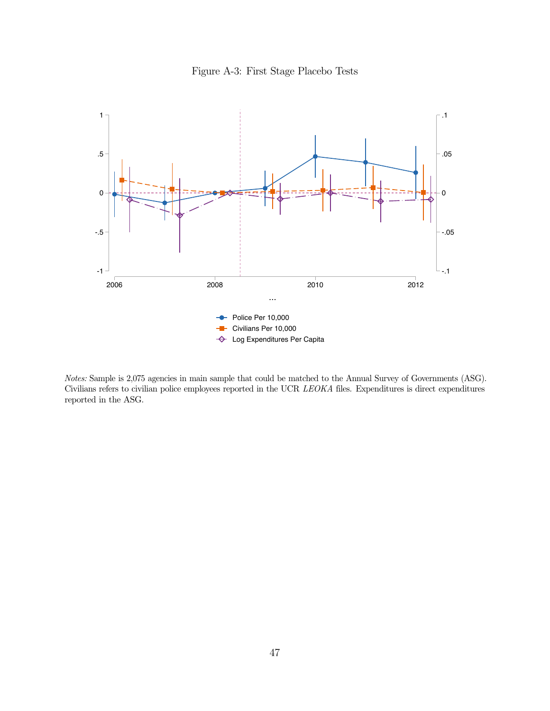



Notes: Sample is 2,075 agencies in main sample that could be matched to the Annual Survey of Governments (ASG). Civilians refers to civilian police employees reported in the UCR LEOKA files. Expenditures is direct expenditures reported in the ASG.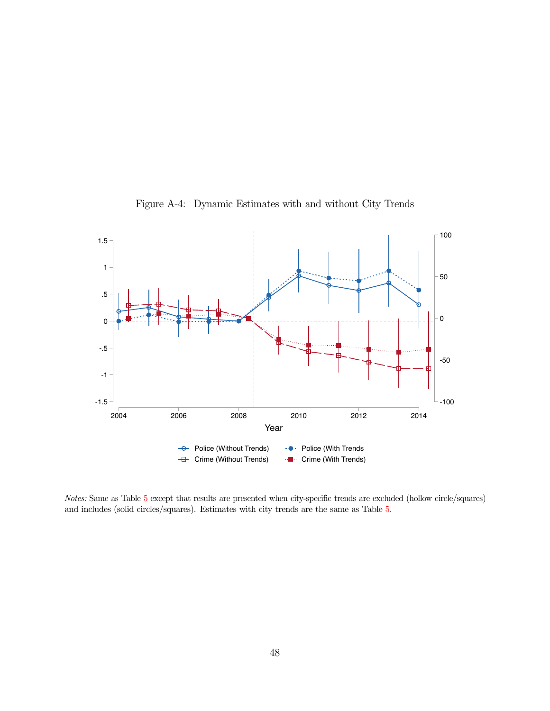<span id="page-48-0"></span>

Figure A-4: Dynamic Estimates with and without City Trends

Notes: Same as Table [5](#page-35-0) except that results are presented when city-specific trends are excluded (hollow circle/squares) and includes (solid circles/squares). Estimates with city trends are the same as Table [5.](#page-35-0)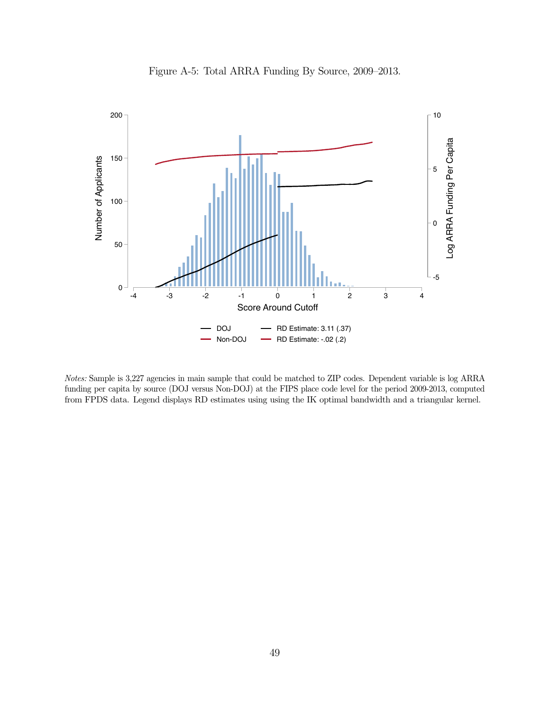<span id="page-49-0"></span>

Figure A-5: Total ARRA Funding By Source, 2009–2013.

Notes: Sample is 3,227 agencies in main sample that could be matched to ZIP codes. Dependent variable is log ARRA funding per capita by source (DOJ versus Non-DOJ) at the FIPS place code level for the period 2009-2013, computed from FPDS data. Legend displays RD estimates using using the IK optimal bandwidth and a triangular kernel.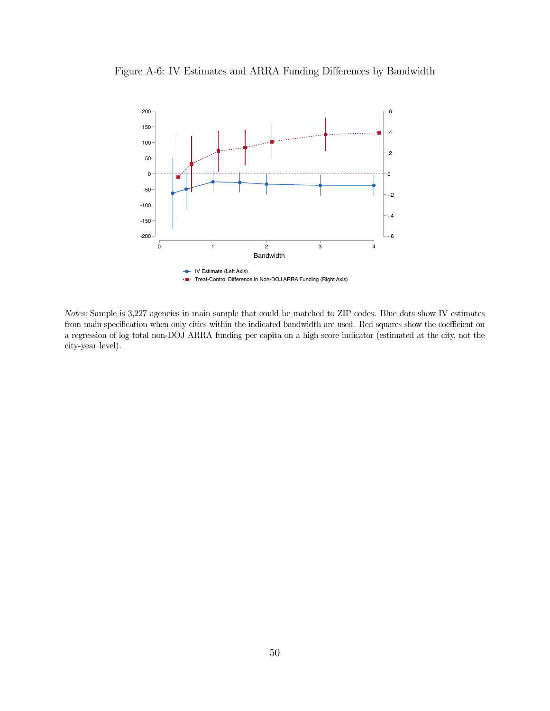<span id="page-50-0"></span>



Notes: Sample is 3,227 agencies in main sample that could be matched to ZIP codes. Blue dots show IV estimates from main specification when only cities within the indicated bandwidth are used. Red squares show the coefficient on a regression of log total non-DOJ ARRA funding per capita on a high score indicator (estimated at the city, not the city-year level).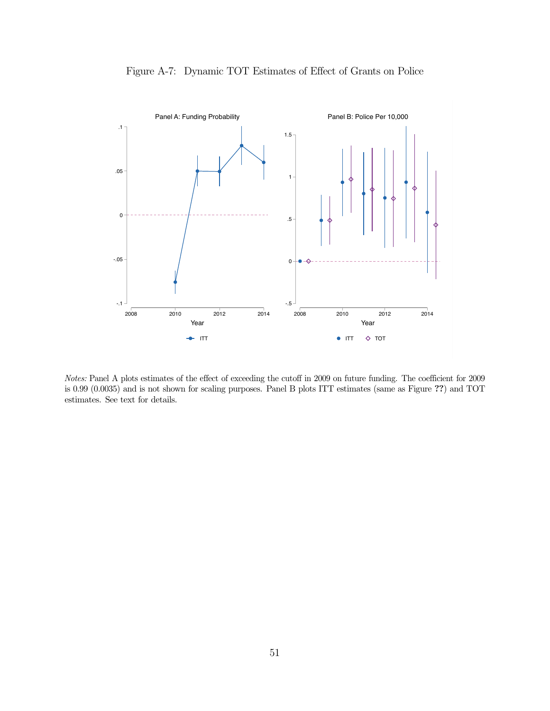<span id="page-51-0"></span>

Figure A-7: Dynamic TOT Estimates of Effect of Grants on Police

Notes: Panel A plots estimates of the effect of exceeding the cutoff in 2009 on future funding. The coefficient for 2009 is 0.99 (0.0035) and is not shown for scaling purposes. Panel B plots ITT estimates (same as Figure ??) and TOT estimates. See text for details.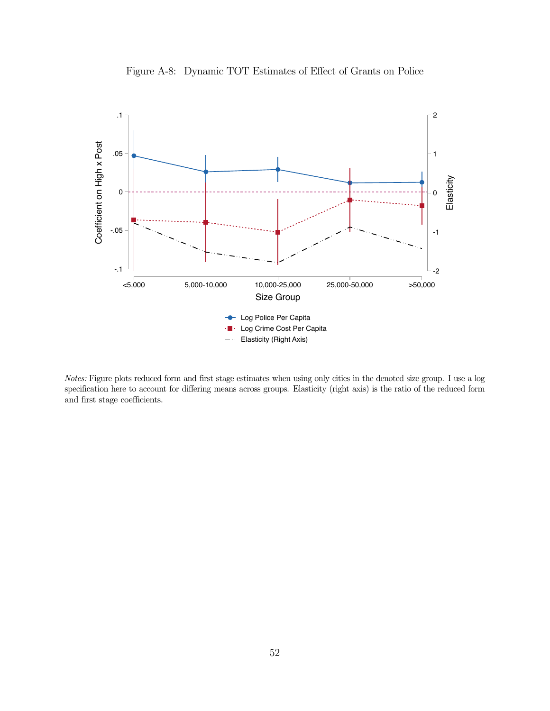<span id="page-52-0"></span>

Figure A-8: Dynamic TOT Estimates of Effect of Grants on Police

Notes: Figure plots reduced form and first stage estimates when using only cities in the denoted size group. I use a log specification here to account for differing means across groups. Elasticity (right axis) is the ratio of the reduced form and first stage coefficients.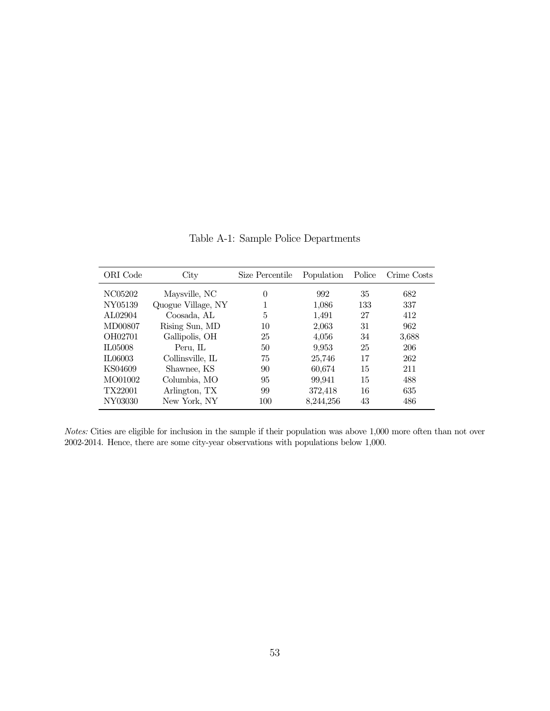| ORI Code | City               | Size Percentile | Population | Police | Crime Costs |
|----------|--------------------|-----------------|------------|--------|-------------|
| NC05202  | Maysville, NC      | 0               | 992        | 35     | 682         |
| NY05139  | Quogue Village, NY |                 | 1,086      | 133    | 337         |
| AL02904  | Coosada, AL        | 5               | 1,491      | 27     | 412         |
| MD00807  | Rising Sun, MD     | 10              | 2,063      | 31     | 962         |
| OH02701  | Gallipolis, OH     | 25              | 4,056      | 34     | 3,688       |
| IL05008  | Peru, IL           | 50              | 9,953      | 25     | 206         |
| IL06003  | Collinsville, IL   | 75              | 25,746     | 17     | 262         |
| KS04609  | Shawnee, KS        | 90              | 60,674     | 15     | 211         |
| MO01002  | Columbia, MO       | 95              | 99,941     | 15     | 488         |
| TX22001  | Arlington, TX      | 99              | 372,418    | 16     | 635         |
| NY03030  | New York, NY       | 100             | 8,244,256  | 43     | 486         |

Table A-1: Sample Police Departments

Notes: Cities are eligible for inclusion in the sample if their population was above 1,000 more often than not over 2002-2014. Hence, there are some city-year observations with populations below 1,000.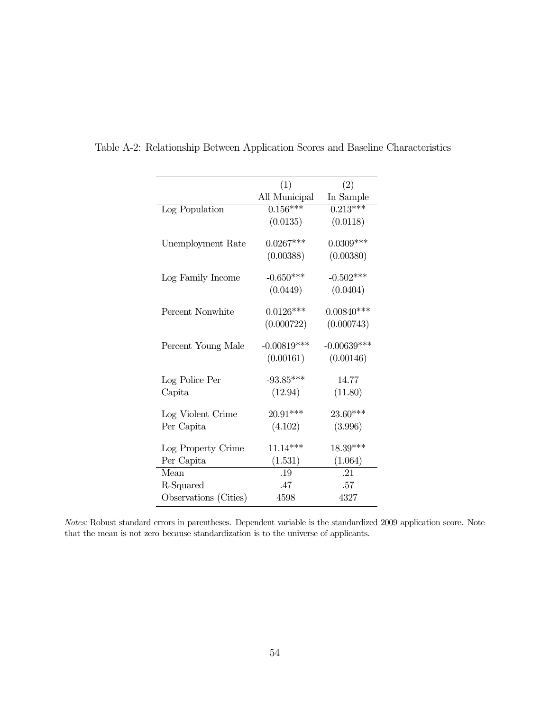|                       | (1)           | (2)           |
|-----------------------|---------------|---------------|
|                       | All Municipal | In Sample     |
| Log Population        | $0.156***$    | $0.213***$    |
|                       | (0.0135)      | (0.0118)      |
| Unemployment Rate     | $0.0267***$   | $0.0309***$   |
|                       | (0.00388)     | (0.00380)     |
| Log Family Income     | $-0.650***$   | $-0.502***$   |
|                       | (0.0449)      | (0.0404)      |
| Percent Nonwhite      | $0.0126***$   | $0.00840***$  |
|                       | (0.000722)    | (0.000743)    |
| Percent Young Male    | $-0.00819***$ | $-0.00639***$ |
|                       | (0.00161)     | (0.00146)     |
| Log Police Per        | $-93.85***$   | 14.77         |
| Capita                | (12.94)       | (11.80)       |
| Log Violent Crime     | $20.91***$    | 23.60***      |
| Per Capita            | (4.102)       | (3.996)       |
| Log Property Crime    | $11.14***$    | 18.39***      |
| Per Capita            | (1.531)       | (1.064)       |
| Mean                  | .19           | .21           |
| R-Squared             | .47           | .57           |
| Observations (Cities) | 4598          | 4327          |

<span id="page-54-0"></span>Table A-2: Relationship Between Application Scores and Baseline Characteristics

Notes: Robust standard errors in parentheses. Dependent variable is the standardized 2009 application score. Note that the mean is not zero because standardization is to the universe of applicants.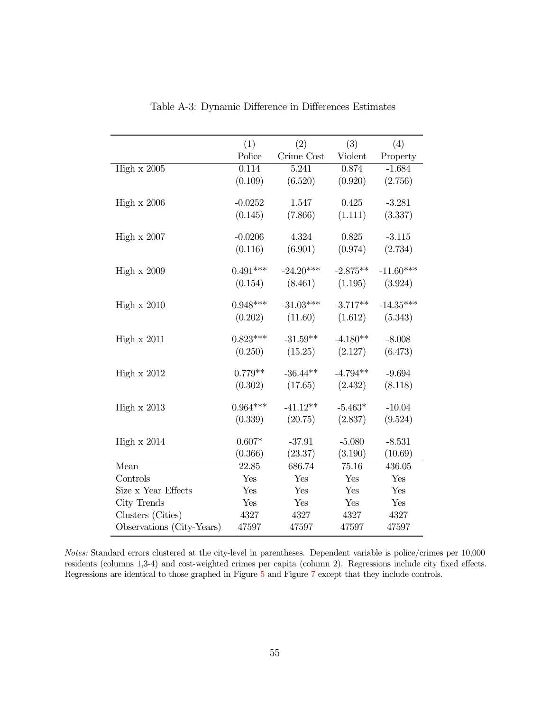<span id="page-55-0"></span>

|                           | (1)        | (2)         | (3)        | (4)         |
|---------------------------|------------|-------------|------------|-------------|
|                           | Police     | Crime Cost  | Violent    | Property    |
| High $x$ 2005             | 0.114      | 5.241       | 0.874      | $-1.684$    |
|                           | (0.109)    | (6.520)     | (0.920)    | (2.756)     |
|                           |            |             |            |             |
| High $x$ 2006             | $-0.0252$  | 1.547       | 0.425      | $-3.281$    |
|                           | (0.145)    | (7.866)     | (1.111)    | (3.337)     |
| High $\times 2007$        | $-0.0206$  | 4.324       | 0.825      | $-3.115$    |
|                           | (0.116)    | (6.901)     | (0.974)    | (2.734)     |
|                           |            |             |            |             |
| High $x 2009$             | $0.491***$ | $-24.20***$ | $-2.875**$ | $-11.60***$ |
|                           | (0.154)    | (8.461)     | (1.195)    | (3.924)     |
|                           |            |             |            |             |
| High $x 2010$             | $0.948***$ | $-31.03***$ | $-3.717**$ | $-14.35***$ |
|                           | (0.202)    | (11.60)     | (1.612)    | (5.343)     |
|                           | $0.823***$ | $-31.59**$  | $-4.180**$ |             |
| High $x 2011$             |            |             |            | $-8.008$    |
|                           | (0.250)    | (15.25)     | (2.127)    | (6.473)     |
| High $x 2012$             | $0.779**$  | $-36.44**$  | $-4.794**$ | $-9.694$    |
|                           | (0.302)    | (17.65)     | (2.432)    | (8.118)     |
|                           |            |             |            |             |
| High $x$ 2013             | $0.964***$ | $-41.12**$  | $-5.463*$  | $-10.04$    |
|                           | (0.339)    | (20.75)     | (2.837)    | (9.524)     |
| High $x 2014$             | $0.607*$   | $-37.91$    | $-5.080$   | $-8.531$    |
|                           | (0.366)    | (23.37)     | (3.190)    | (10.69)     |
| Mean                      | 22.85      | 686.74      | 75.16      | 436.05      |
| Controls                  | Yes        | Yes         | Yes        | Yes         |
| Size x Year Effects       | Yes        | Yes         | Yes        | Yes         |
| City Trends               | Yes        | Yes         | Yes        | Yes         |
| Clusters (Cities)         | 4327       | 4327        | 4327       | 4327        |
| Observations (City-Years) | 47597      | 47597       | 47597      | 47597       |
|                           |            |             |            |             |

Table A-3: Dynamic Difference in Differences Estimates

Notes: Standard errors clustered at the city-level in parentheses. Dependent variable is police/crimes per 10,000 residents (columns 1,3-4) and cost-weighted crimes per capita (column 2). Regressions include city fixed effects. Regressions are identical to those graphed in Figure [5](#page-35-0) and Figure [7](#page-37-0) except that they include controls.